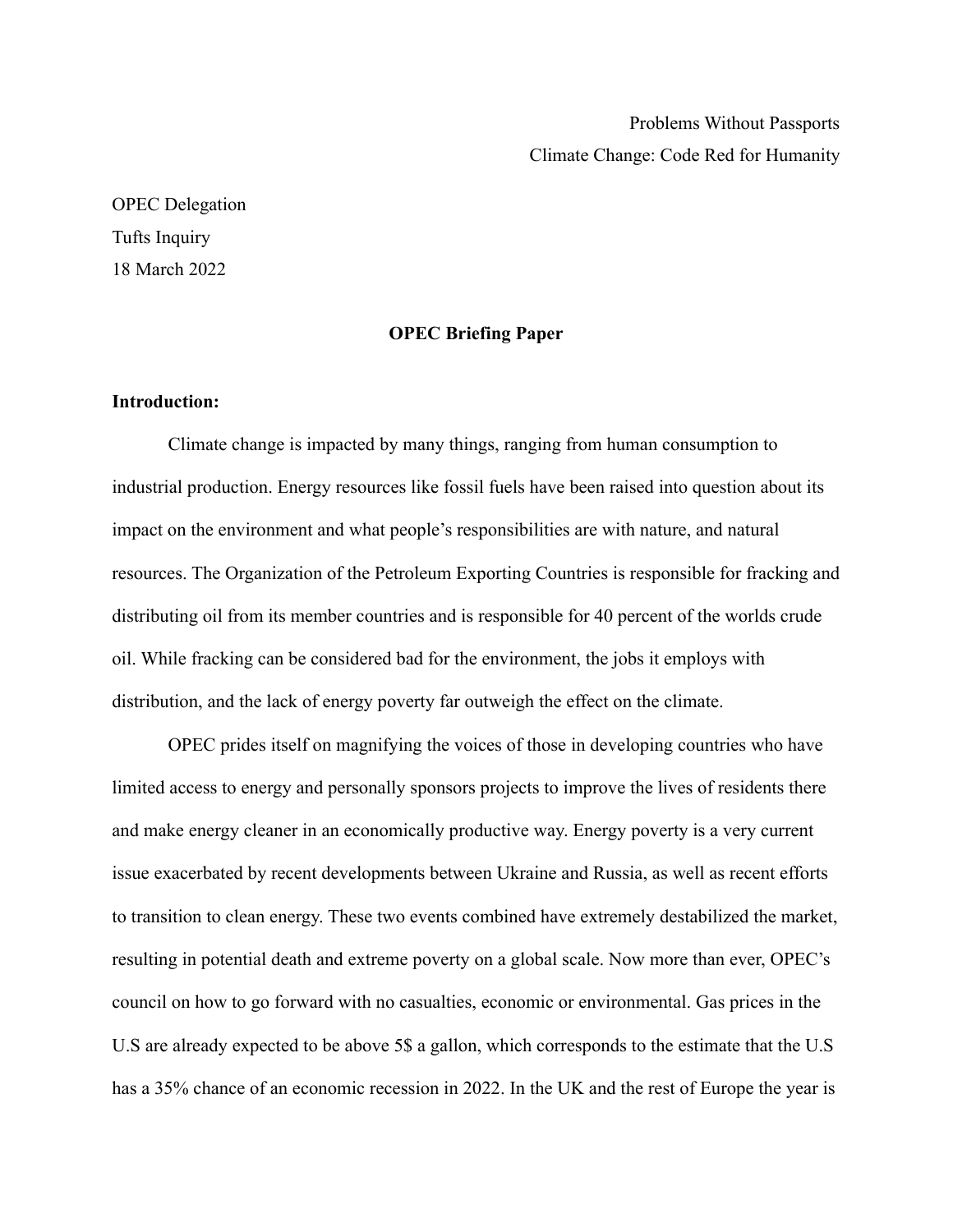Problems Without Passports Climate Change: Code Red for Humanity

OPEC Delegation Tufts Inquiry 18 March 2022

## **OPEC Briefing Paper**

## **Introduction:**

Climate change is impacted by many things, ranging from human consumption to industrial production. Energy resources like fossil fuels have been raised into question about its impact on the environment and what people's responsibilities are with nature, and natural resources. The Organization of the Petroleum Exporting Countries is responsible for fracking and distributing oil from its member countries and is responsible for 40 percent of the worlds crude oil. While fracking can be considered bad for the environment, the jobs it employs with distribution, and the lack of energy poverty far outweigh the effect on the climate.

OPEC prides itself on magnifying the voices of those in developing countries who have limited access to energy and personally sponsors projects to improve the lives of residents there and make energy cleaner in an economically productive way. Energy poverty is a very current issue exacerbated by recent developments between Ukraine and Russia, as well as recent efforts to transition to clean energy. These two events combined have extremely destabilized the market, resulting in potential death and extreme poverty on a global scale. Now more than ever, OPEC's council on how to go forward with no casualties, economic or environmental. Gas prices in the U.S are already expected to be above 5\$ a gallon, which corresponds to the estimate that the U.S has a 35% chance of an economic recession in 2022. In the UK and the rest of Europe the year is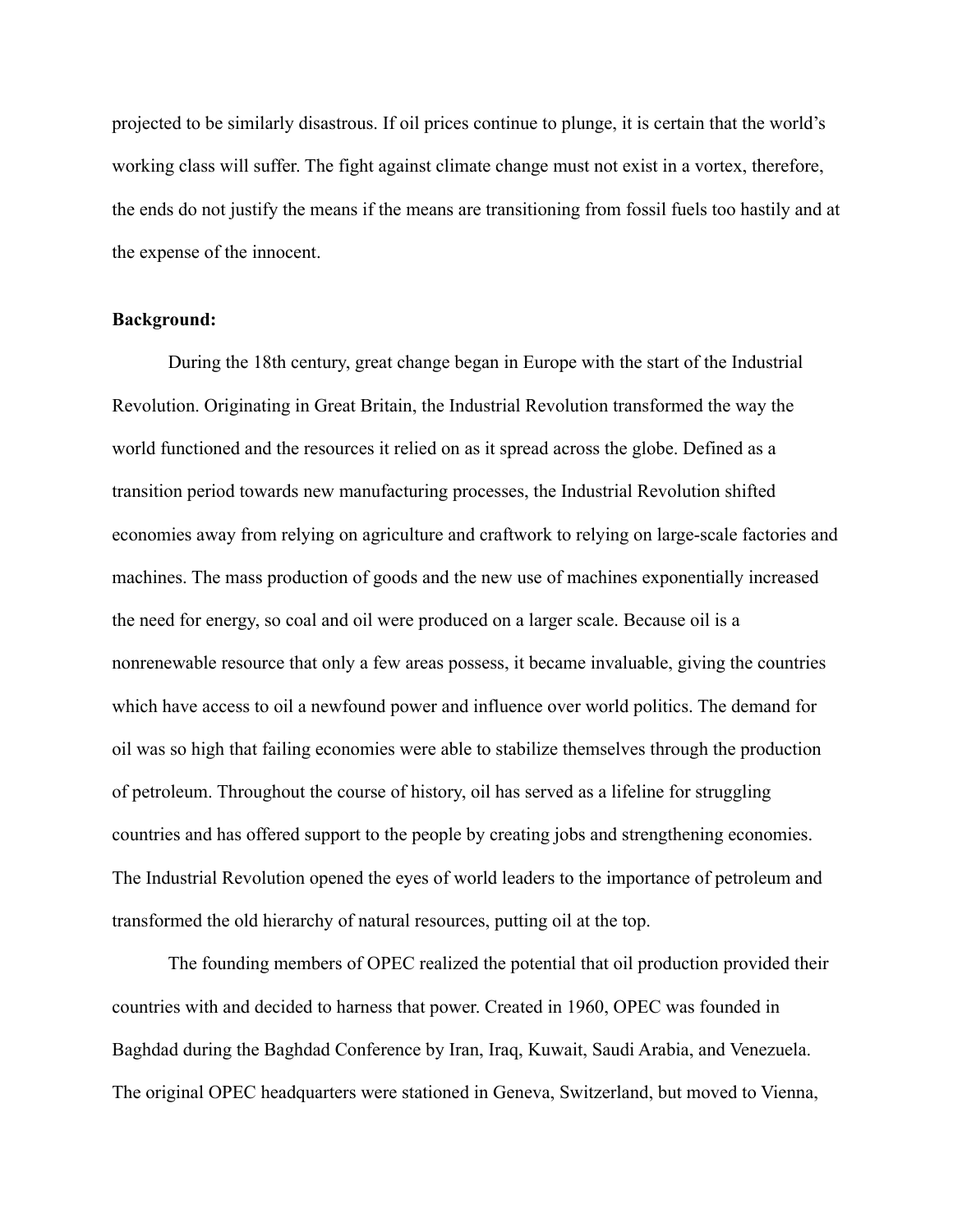projected to be similarly disastrous. If oil prices continue to plunge, it is certain that the world's working class will suffer. The fight against climate change must not exist in a vortex, therefore, the ends do not justify the means if the means are transitioning from fossil fuels too hastily and at the expense of the innocent.

## **Background:**

During the 18th century, great change began in Europe with the start of the Industrial Revolution. Originating in Great Britain, the Industrial Revolution transformed the way the world functioned and the resources it relied on as it spread across the globe. Defined as a transition period towards new manufacturing processes, the Industrial Revolution shifted economies away from relying on agriculture and craftwork to relying on large-scale factories and machines. The mass production of goods and the new use of machines exponentially increased the need for energy, so coal and oil were produced on a larger scale. Because oil is a nonrenewable resource that only a few areas possess, it became invaluable, giving the countries which have access to oil a newfound power and influence over world politics. The demand for oil was so high that failing economies were able to stabilize themselves through the production of petroleum. Throughout the course of history, oil has served as a lifeline for struggling countries and has offered support to the people by creating jobs and strengthening economies. The Industrial Revolution opened the eyes of world leaders to the importance of petroleum and transformed the old hierarchy of natural resources, putting oil at the top.

The founding members of OPEC realized the potential that oil production provided their countries with and decided to harness that power. Created in 1960, OPEC was founded in Baghdad during the Baghdad Conference by Iran, Iraq, Kuwait, Saudi Arabia, and Venezuela. The original OPEC headquarters were stationed in Geneva, Switzerland, but moved to Vienna,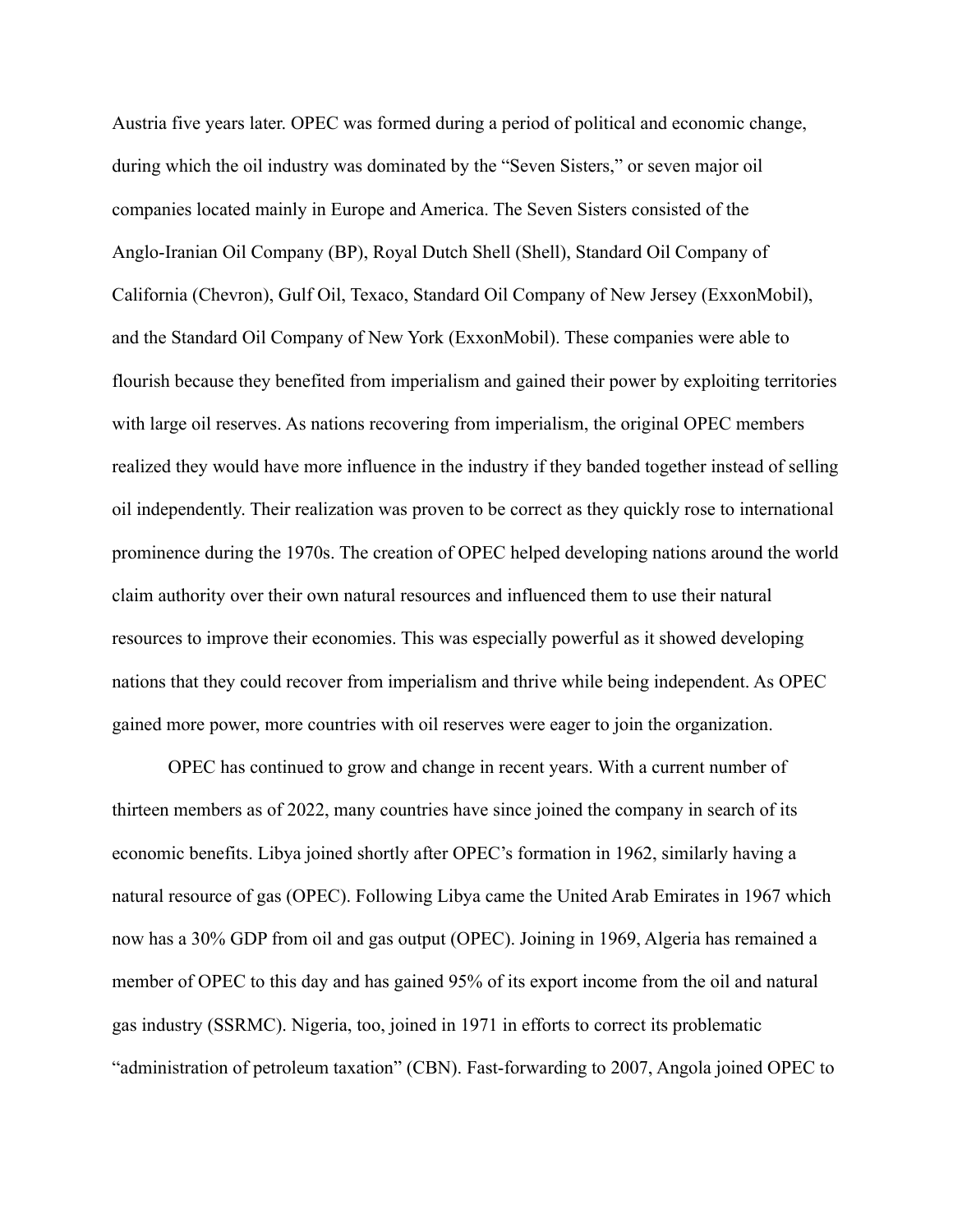Austria five years later. OPEC was formed during a period of political and economic change, during which the oil industry was dominated by the "Seven Sisters," or seven major oil companies located mainly in Europe and America. The Seven Sisters consisted of the Anglo-Iranian Oil Company (BP), Royal Dutch Shell (Shell), Standard Oil Company of California (Chevron), Gulf Oil, Texaco, Standard Oil Company of New Jersey (ExxonMobil), and the Standard Oil Company of New York (ExxonMobil). These companies were able to flourish because they benefited from imperialism and gained their power by exploiting territories with large oil reserves. As nations recovering from imperialism, the original OPEC members realized they would have more influence in the industry if they banded together instead of selling oil independently. Their realization was proven to be correct as they quickly rose to international prominence during the 1970s. The creation of OPEC helped developing nations around the world claim authority over their own natural resources and influenced them to use their natural resources to improve their economies. This was especially powerful as it showed developing nations that they could recover from imperialism and thrive while being independent. As OPEC gained more power, more countries with oil reserves were eager to join the organization.

OPEC has continued to grow and change in recent years. With a current number of thirteen members as of 2022, many countries have since joined the company in search of its economic benefits. Libya joined shortly after OPEC's formation in 1962, similarly having a natural resource of gas (OPEC). Following Libya came the United Arab Emirates in 1967 which now has a 30% GDP from oil and gas output (OPEC). Joining in 1969, Algeria has remained a member of OPEC to this day and has gained 95% of its export income from the oil and natural gas industry (SSRMC). Nigeria, too, joined in 1971 in efforts to correct its problematic "administration of petroleum taxation" (CBN). Fast-forwarding to 2007, Angola joined OPEC to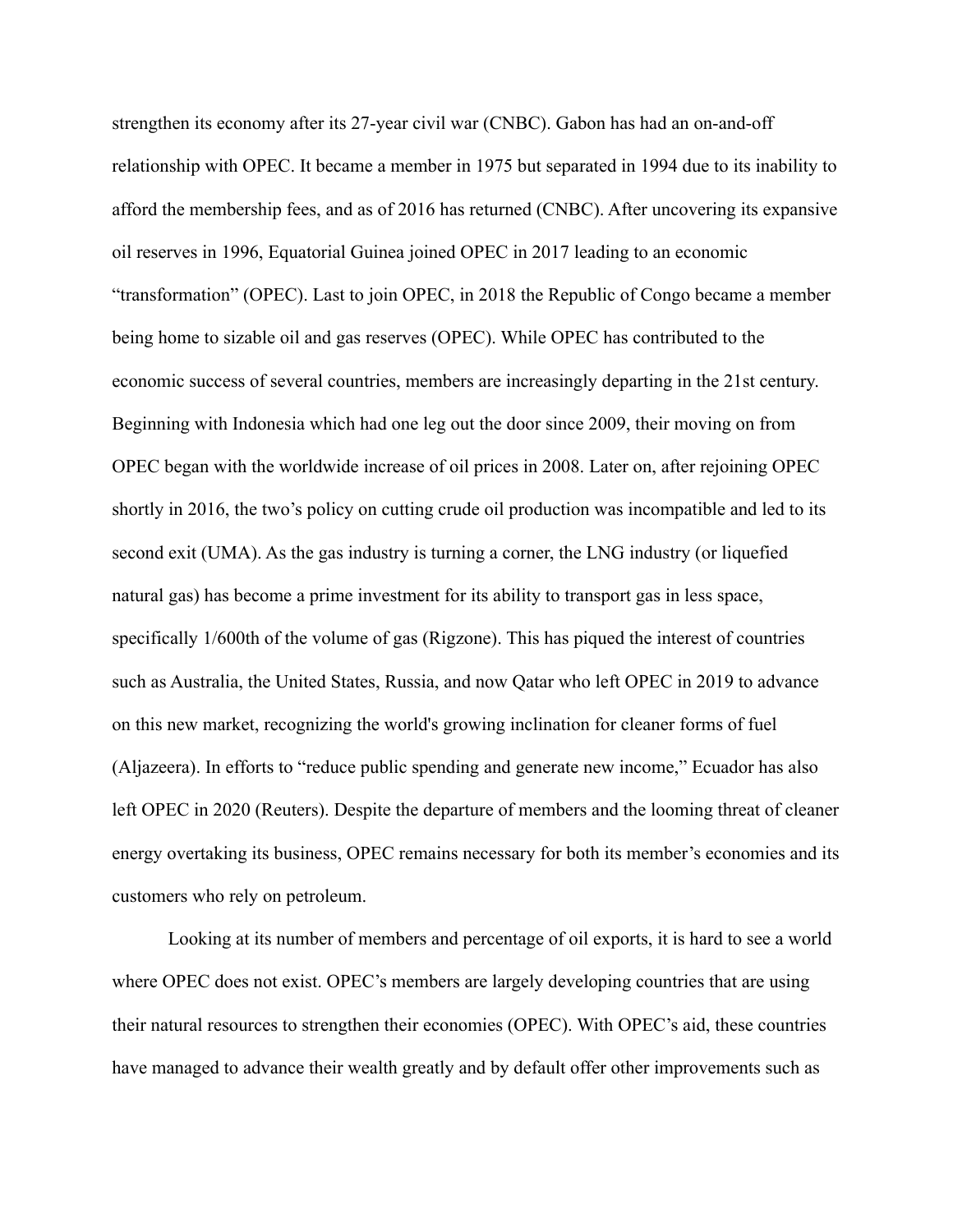strengthen its economy after its 27-year civil war (CNBC). Gabon has had an on-and-off relationship with OPEC. It became a member in 1975 but separated in 1994 due to its inability to afford the membership fees, and as of 2016 has returned (CNBC). After uncovering its expansive oil reserves in 1996, Equatorial Guinea joined OPEC in 2017 leading to an economic "transformation" (OPEC). Last to join OPEC, in 2018 the Republic of Congo became a member being home to sizable oil and gas reserves (OPEC). While OPEC has contributed to the economic success of several countries, members are increasingly departing in the 21st century. Beginning with Indonesia which had one leg out the door since 2009, their moving on from OPEC began with the worldwide increase of oil prices in 2008. Later on, after rejoining OPEC shortly in 2016, the two's policy on cutting crude oil production was incompatible and led to its second exit (UMA). As the gas industry is turning a corner, the LNG industry (or liquefied natural gas) has become a prime investment for its ability to transport gas in less space, specifically 1/600th of the volume of gas (Rigzone). This has piqued the interest of countries such as Australia, the United States, Russia, and now Qatar who left OPEC in 2019 to advance on this new market, recognizing the world's growing inclination for cleaner forms of fuel (Aljazeera). In efforts to "reduce public spending and generate new income," Ecuador has also left OPEC in 2020 (Reuters). Despite the departure of members and the looming threat of cleaner energy overtaking its business, OPEC remains necessary for both its member's economies and its customers who rely on petroleum.

Looking at its number of members and percentage of oil exports, it is hard to see a world where OPEC does not exist. OPEC's members are largely developing countries that are using their natural resources to strengthen their economies (OPEC). With OPEC's aid, these countries have managed to advance their wealth greatly and by default offer other improvements such as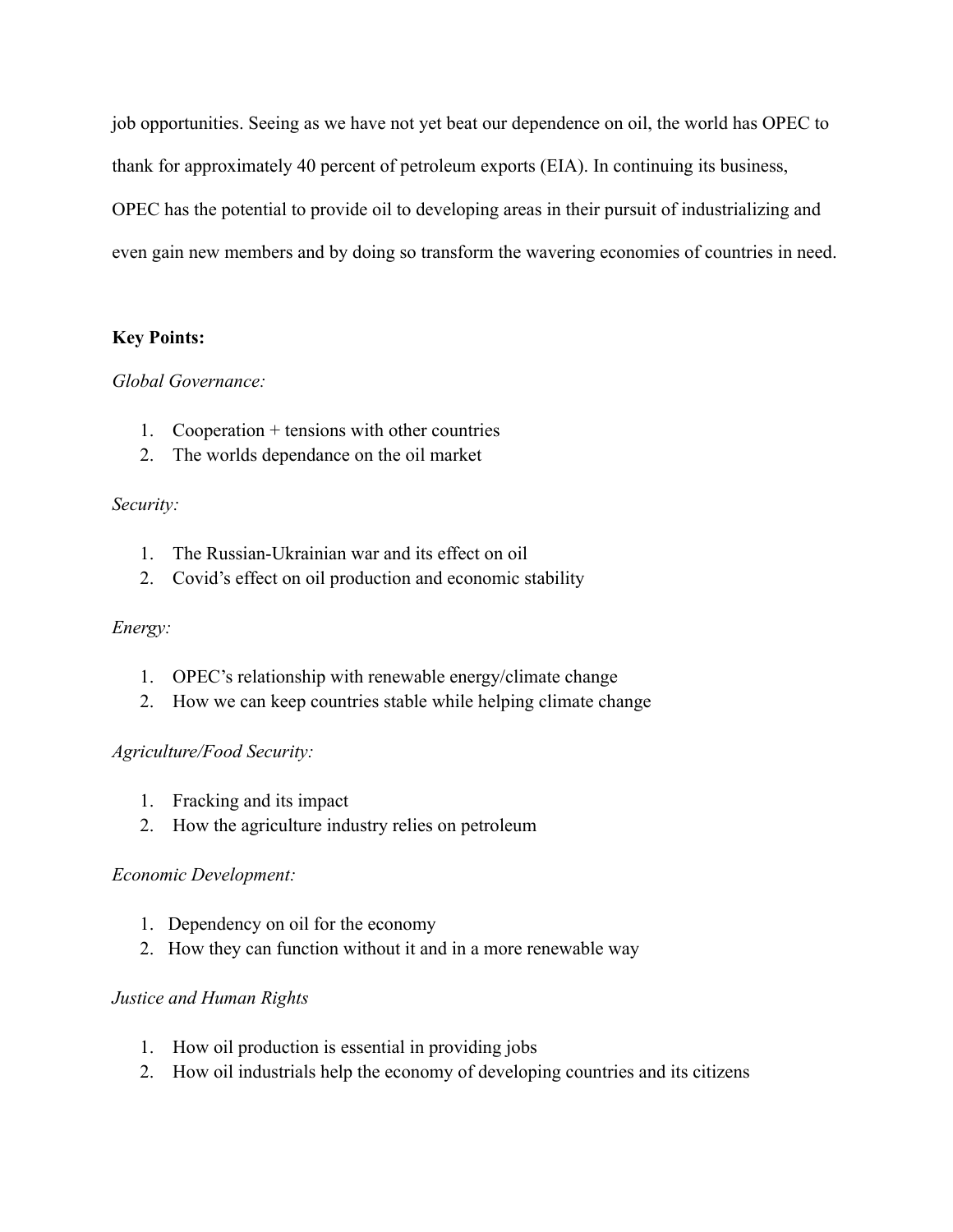job opportunities. Seeing as we have not yet beat our dependence on oil, the world has OPEC to thank for approximately 40 percent of petroleum exports (EIA). In continuing its business, OPEC has the potential to provide oil to developing areas in their pursuit of industrializing and even gain new members and by doing so transform the wavering economies of countries in need.

# **Key Points:**

# *Global Governance:*

- 1. Cooperation + tensions with other countries
- 2. The worlds dependance on the oil market

# *Security:*

- 1. The Russian-Ukrainian war and its effect on oil
- 2. Covid's effect on oil production and economic stability

# *Energy:*

- 1. OPEC's relationship with renewable energy/climate change
- 2. How we can keep countries stable while helping climate change

# *Agriculture/Food Security:*

- 1. Fracking and its impact
- 2. How the agriculture industry relies on petroleum

# *Economic Development:*

- 1. Dependency on oil for the economy
- 2. How they can function without it and in a more renewable way

# *Justice and Human Rights*

- 1. How oil production is essential in providing jobs
- 2. How oil industrials help the economy of developing countries and its citizens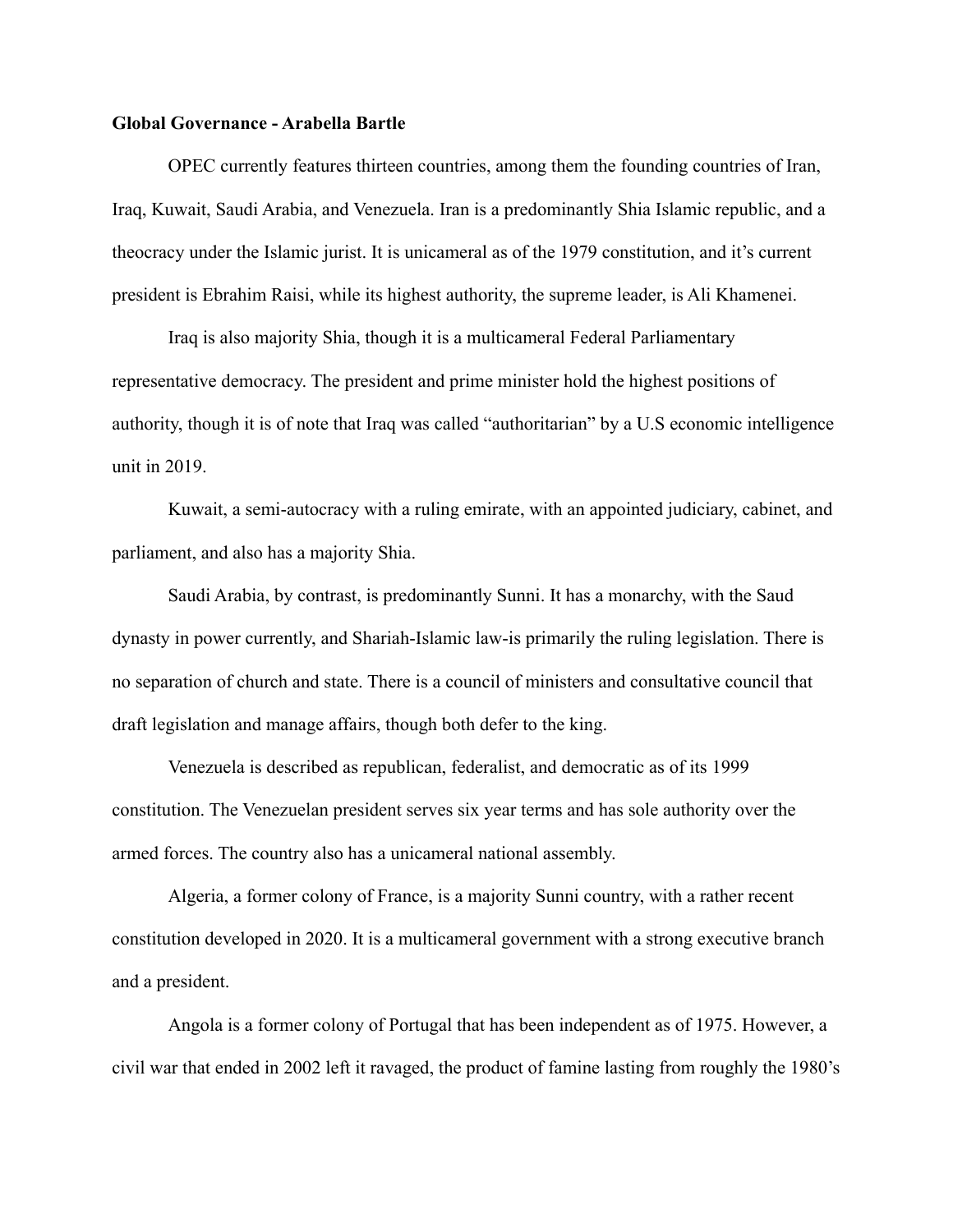## **Global Governance - Arabella Bartle**

OPEC currently features thirteen countries, among them the founding countries of Iran, Iraq, Kuwait, Saudi Arabia, and Venezuela. Iran is a predominantly Shia Islamic republic, and a theocracy under the Islamic jurist. It is unicameral as of the 1979 constitution, and it's current president is Ebrahim Raisi, while its highest authority, the supreme leader, is Ali Khamenei.

Iraq is also majority Shia, though it is a multicameral Federal Parliamentary representative democracy. The president and prime minister hold the highest positions of authority, though it is of note that Iraq was called "authoritarian" by a U.S economic intelligence unit in 2019.

Kuwait, a semi-autocracy with a ruling emirate, with an appointed judiciary, cabinet, and parliament, and also has a majority Shia.

Saudi Arabia, by contrast, is predominantly Sunni. It has a monarchy, with the Saud dynasty in power currently, and Shariah-Islamic law-is primarily the ruling legislation. There is no separation of church and state. There is a council of ministers and consultative council that draft legislation and manage affairs, though both defer to the king.

Venezuela is described as republican, federalist, and democratic as of its 1999 constitution. The Venezuelan president serves six year terms and has sole authority over the armed forces. The country also has a unicameral national assembly.

Algeria, a former colony of France, is a majority Sunni country, with a rather recent constitution developed in 2020. It is a multicameral government with a strong executive branch and a president.

Angola is a former colony of Portugal that has been independent as of 1975. However, a civil war that ended in 2002 left it ravaged, the product of famine lasting from roughly the 1980's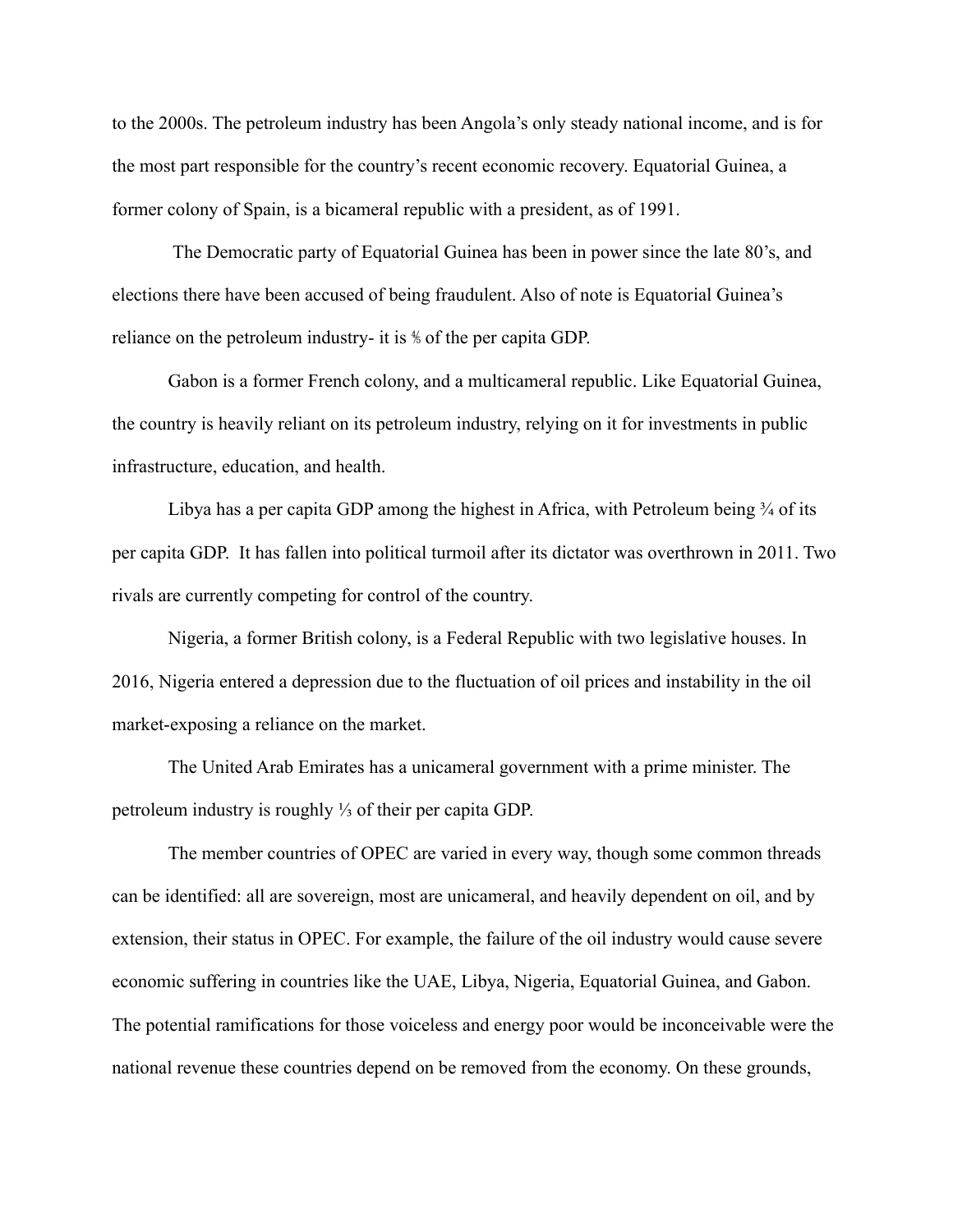to the 2000s. The petroleum industry has been Angola's only steady national income, and is for the most part responsible for the country's recent economic recovery. Equatorial Guinea, a former colony of Spain, is a bicameral republic with a president, as of 1991.

The Democratic party of Equatorial Guinea has been in power since the late 80's, and elections there have been accused of being fraudulent. Also of note is Equatorial Guinea's reliance on the petroleum industry- it is ⅘ of the per capita GDP.

Gabon is a former French colony, and a multicameral republic. Like Equatorial Guinea, the country is heavily reliant on its petroleum industry, relying on it for investments in public infrastructure, education, and health.

Libya has a per capita GDP among the highest in Africa, with Petroleum being  $\frac{3}{4}$  of its per capita GDP. It has fallen into political turmoil after its dictator was overthrown in 2011. Two rivals are currently competing for control of the country.

Nigeria, a former British colony, is a Federal Republic with two legislative houses. In 2016, Nigeria entered a depression due to the fluctuation of oil prices and instability in the oil market-exposing a reliance on the market.

The United Arab Emirates has a unicameral government with a prime minister. The petroleum industry is roughly ⅓ of their per capita GDP.

The member countries of OPEC are varied in every way, though some common threads can be identified: all are sovereign, most are unicameral, and heavily dependent on oil, and by extension, their status in OPEC. For example, the failure of the oil industry would cause severe economic suffering in countries like the UAE, Libya, Nigeria, Equatorial Guinea, and Gabon. The potential ramifications for those voiceless and energy poor would be inconceivable were the national revenue these countries depend on be removed from the economy. On these grounds,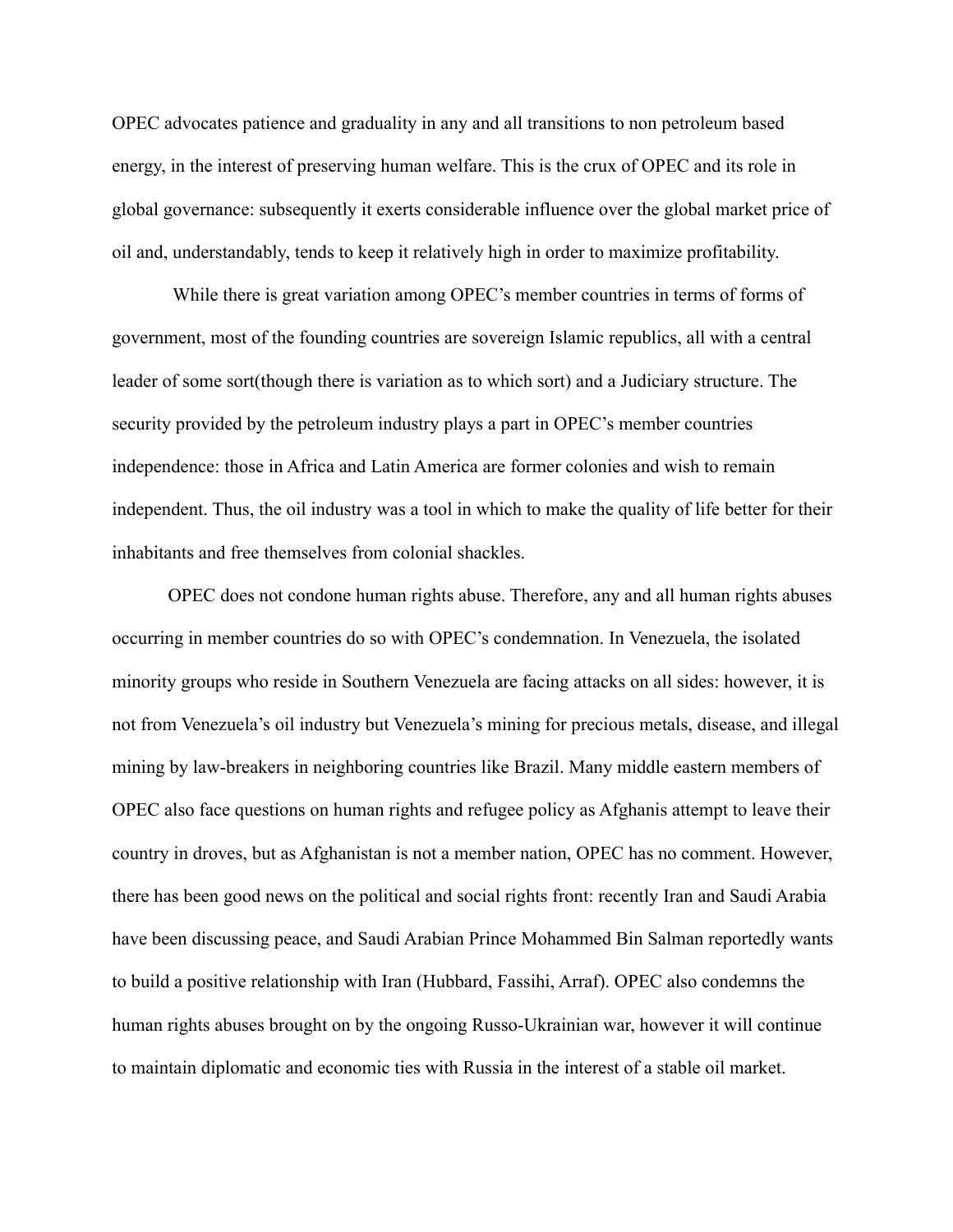OPEC advocates patience and graduality in any and all transitions to non petroleum based energy, in the interest of preserving human welfare. This is the crux of OPEC and its role in global governance: subsequently it exerts considerable influence over the global market price of oil and, understandably, tends to keep it relatively high in order to maximize profitability.

While there is great variation among OPEC's member countries in terms of forms of government, most of the founding countries are sovereign Islamic republics, all with a central leader of some sort(though there is variation as to which sort) and a Judiciary structure. The security provided by the petroleum industry plays a part in OPEC's member countries independence: those in Africa and Latin America are former colonies and wish to remain independent. Thus, the oil industry was a tool in which to make the quality of life better for their inhabitants and free themselves from colonial shackles.

OPEC does not condone human rights abuse. Therefore, any and all human rights abuses occurring in member countries do so with OPEC's condemnation. In Venezuela, the isolated minority groups who reside in Southern Venezuela are facing attacks on all sides: however, it is not from Venezuela's oil industry but Venezuela's mining for precious metals, disease, and illegal mining by law-breakers in neighboring countries like Brazil. Many middle eastern members of OPEC also face questions on human rights and refugee policy as Afghanis attempt to leave their country in droves, but as Afghanistan is not a member nation, OPEC has no comment. However, there has been good news on the political and social rights front: recently Iran and Saudi Arabia have been discussing peace, and Saudi Arabian Prince Mohammed Bin Salman reportedly wants to build a positive relationship with Iran (Hubbard, Fassihi, Arraf). OPEC also condemns the human rights abuses brought on by the ongoing Russo-Ukrainian war, however it will continue to maintain diplomatic and economic ties with Russia in the interest of a stable oil market.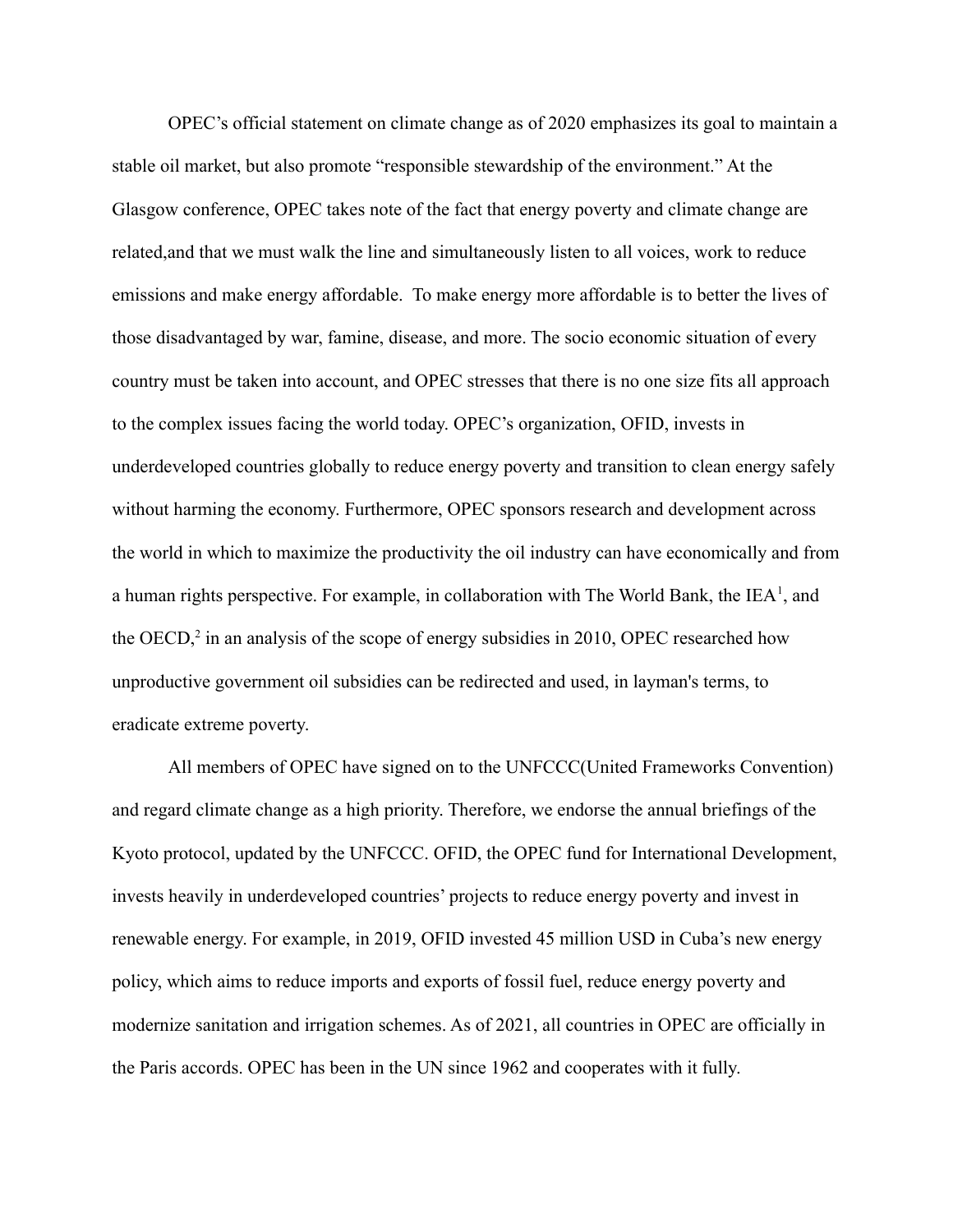OPEC's official statement on climate change as of 2020 emphasizes its goal to maintain a stable oil market, but also promote "responsible stewardship of the environment." At the Glasgow conference, OPEC takes note of the fact that energy poverty and climate change are related,and that we must walk the line and simultaneously listen to all voices, work to reduce emissions and make energy affordable. To make energy more affordable is to better the lives of those disadvantaged by war, famine, disease, and more. The socio economic situation of every country must be taken into account, and OPEC stresses that there is no one size fits all approach to the complex issues facing the world today. OPEC's organization, OFID, invests in underdeveloped countries globally to reduce energy poverty and transition to clean energy safely without harming the economy. Furthermore, OPEC sponsors research and development across the world in which to maximize the productivity the oil industry can have economically and from a human rights perspective. For example, in collaboration with The World Bank, the  $IEA<sup>1</sup>$ , and the OECD, $2$  in an analysis of the scope of energy subsidies in 2010, OPEC researched how unproductive government oil subsidies can be redirected and used, in layman's terms, to eradicate extreme poverty.

All members of OPEC have signed on to the UNFCCC(United Frameworks Convention) and regard climate change as a high priority. Therefore, we endorse the annual briefings of the Kyoto protocol, updated by the UNFCCC. OFID, the OPEC fund for International Development, invests heavily in underdeveloped countries' projects to reduce energy poverty and invest in renewable energy. For example, in 2019, OFID invested 45 million USD in Cuba's new energy policy, which aims to reduce imports and exports of fossil fuel, reduce energy poverty and modernize sanitation and irrigation schemes. As of 2021, all countries in OPEC are officially in the Paris accords. OPEC has been in the UN since 1962 and cooperates with it fully.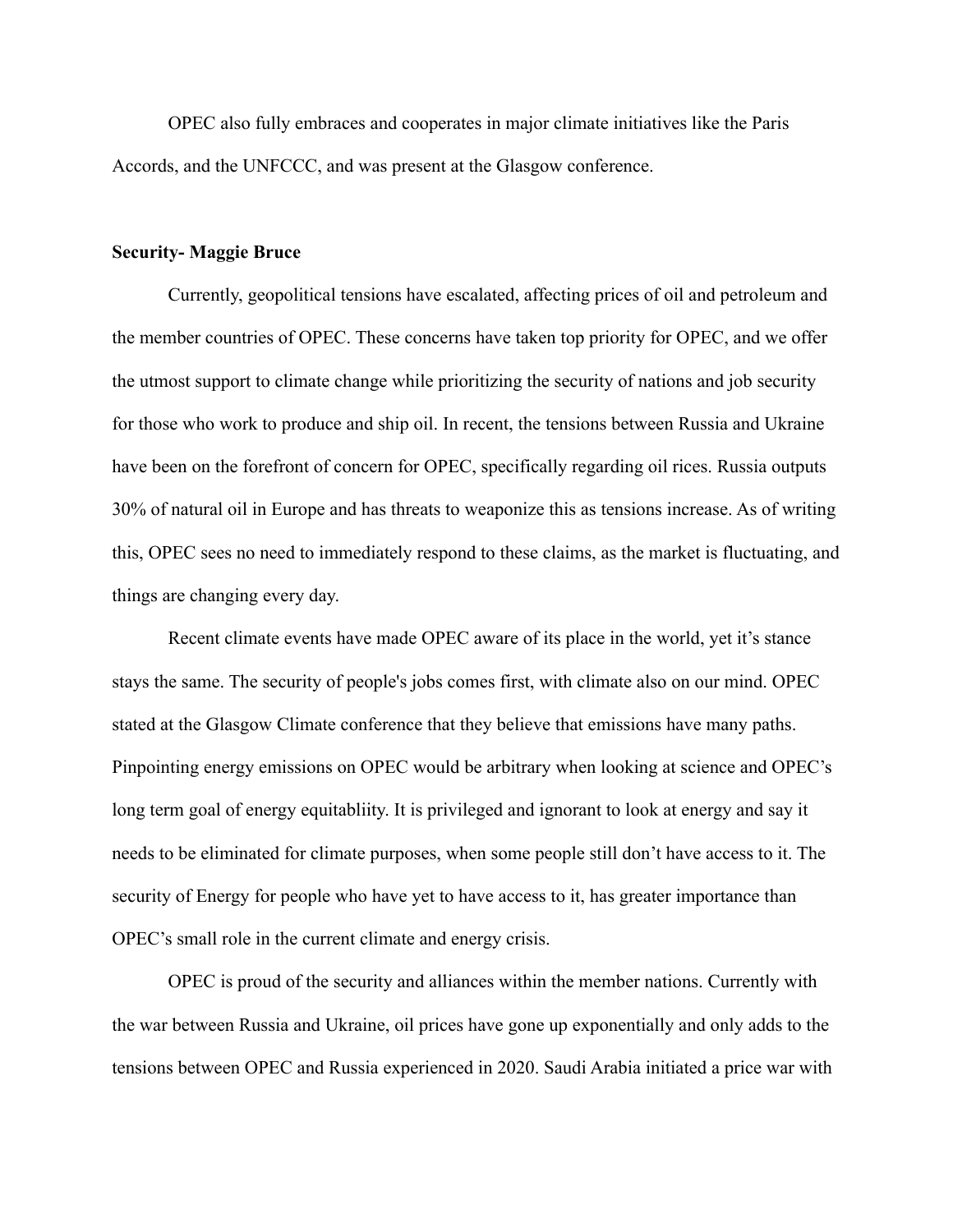OPEC also fully embraces and cooperates in major climate initiatives like the Paris Accords, and the UNFCCC, and was present at the Glasgow conference.

## **Security- Maggie Bruce**

Currently, geopolitical tensions have escalated, affecting prices of oil and petroleum and the member countries of OPEC. These concerns have taken top priority for OPEC, and we offer the utmost support to climate change while prioritizing the security of nations and job security for those who work to produce and ship oil. In recent, the tensions between Russia and Ukraine have been on the forefront of concern for OPEC, specifically regarding oil rices. Russia outputs 30% of natural oil in Europe and has threats to weaponize this as tensions increase. As of writing this, OPEC sees no need to immediately respond to these claims, as the market is fluctuating, and things are changing every day.

Recent climate events have made OPEC aware of its place in the world, yet it's stance stays the same. The security of people's jobs comes first, with climate also on our mind. OPEC stated at the Glasgow Climate conference that they believe that emissions have many paths. Pinpointing energy emissions on OPEC would be arbitrary when looking at science and OPEC's long term goal of energy equitabliity. It is privileged and ignorant to look at energy and say it needs to be eliminated for climate purposes, when some people still don't have access to it. The security of Energy for people who have yet to have access to it, has greater importance than OPEC's small role in the current climate and energy crisis.

OPEC is proud of the security and alliances within the member nations. Currently with the war between Russia and Ukraine, oil prices have gone up exponentially and only adds to the tensions between OPEC and Russia experienced in 2020. Saudi Arabia initiated a price war with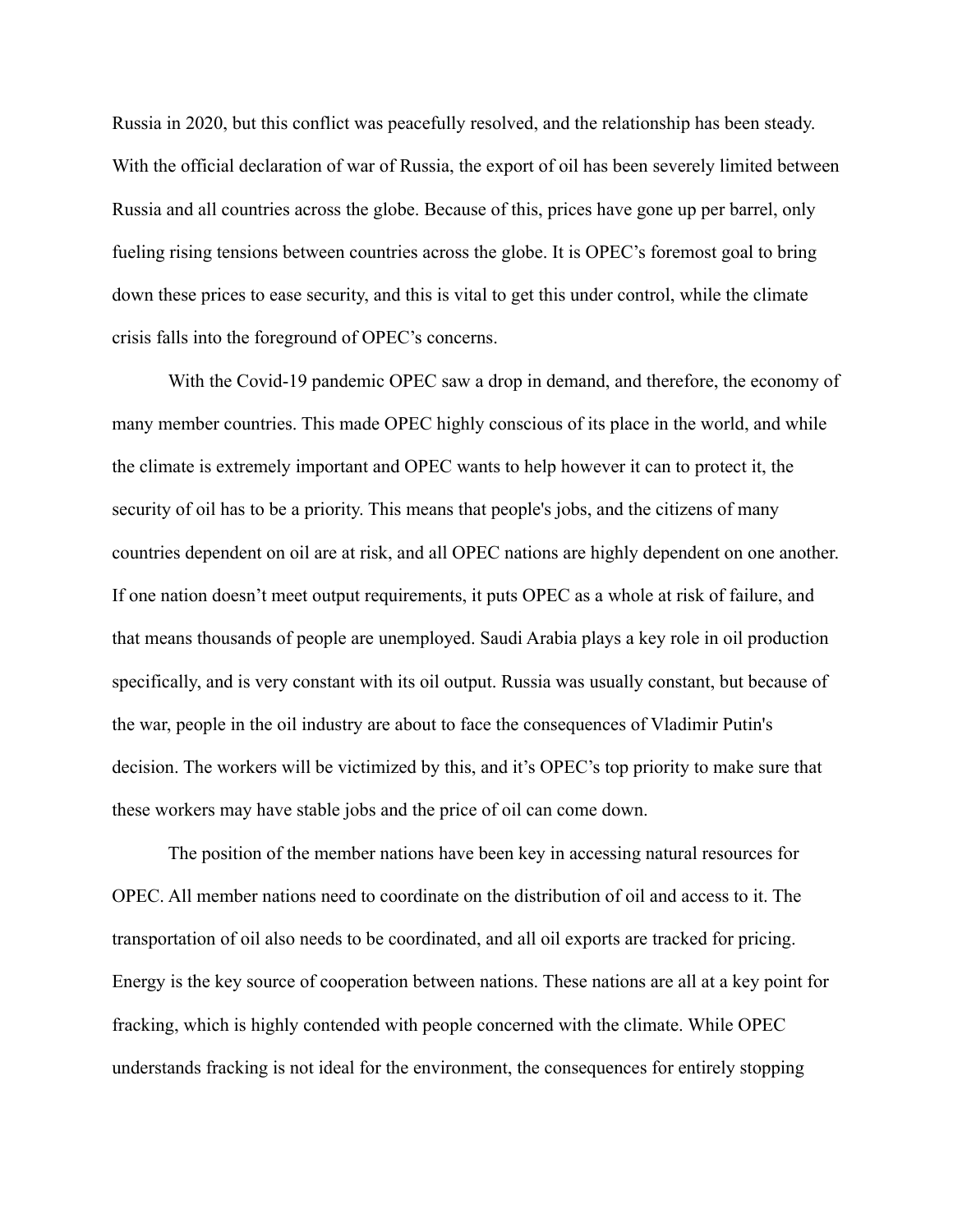Russia in 2020, but this conflict was peacefully resolved, and the relationship has been steady. With the official declaration of war of Russia, the export of oil has been severely limited between Russia and all countries across the globe. Because of this, prices have gone up per barrel, only fueling rising tensions between countries across the globe. It is OPEC's foremost goal to bring down these prices to ease security, and this is vital to get this under control, while the climate crisis falls into the foreground of OPEC's concerns.

With the Covid-19 pandemic OPEC saw a drop in demand, and therefore, the economy of many member countries. This made OPEC highly conscious of its place in the world, and while the climate is extremely important and OPEC wants to help however it can to protect it, the security of oil has to be a priority. This means that people's jobs, and the citizens of many countries dependent on oil are at risk, and all OPEC nations are highly dependent on one another. If one nation doesn't meet output requirements, it puts OPEC as a whole at risk of failure, and that means thousands of people are unemployed. Saudi Arabia plays a key role in oil production specifically, and is very constant with its oil output. Russia was usually constant, but because of the war, people in the oil industry are about to face the consequences of Vladimir Putin's decision. The workers will be victimized by this, and it's OPEC's top priority to make sure that these workers may have stable jobs and the price of oil can come down.

The position of the member nations have been key in accessing natural resources for OPEC. All member nations need to coordinate on the distribution of oil and access to it. The transportation of oil also needs to be coordinated, and all oil exports are tracked for pricing. Energy is the key source of cooperation between nations. These nations are all at a key point for fracking, which is highly contended with people concerned with the climate. While OPEC understands fracking is not ideal for the environment, the consequences for entirely stopping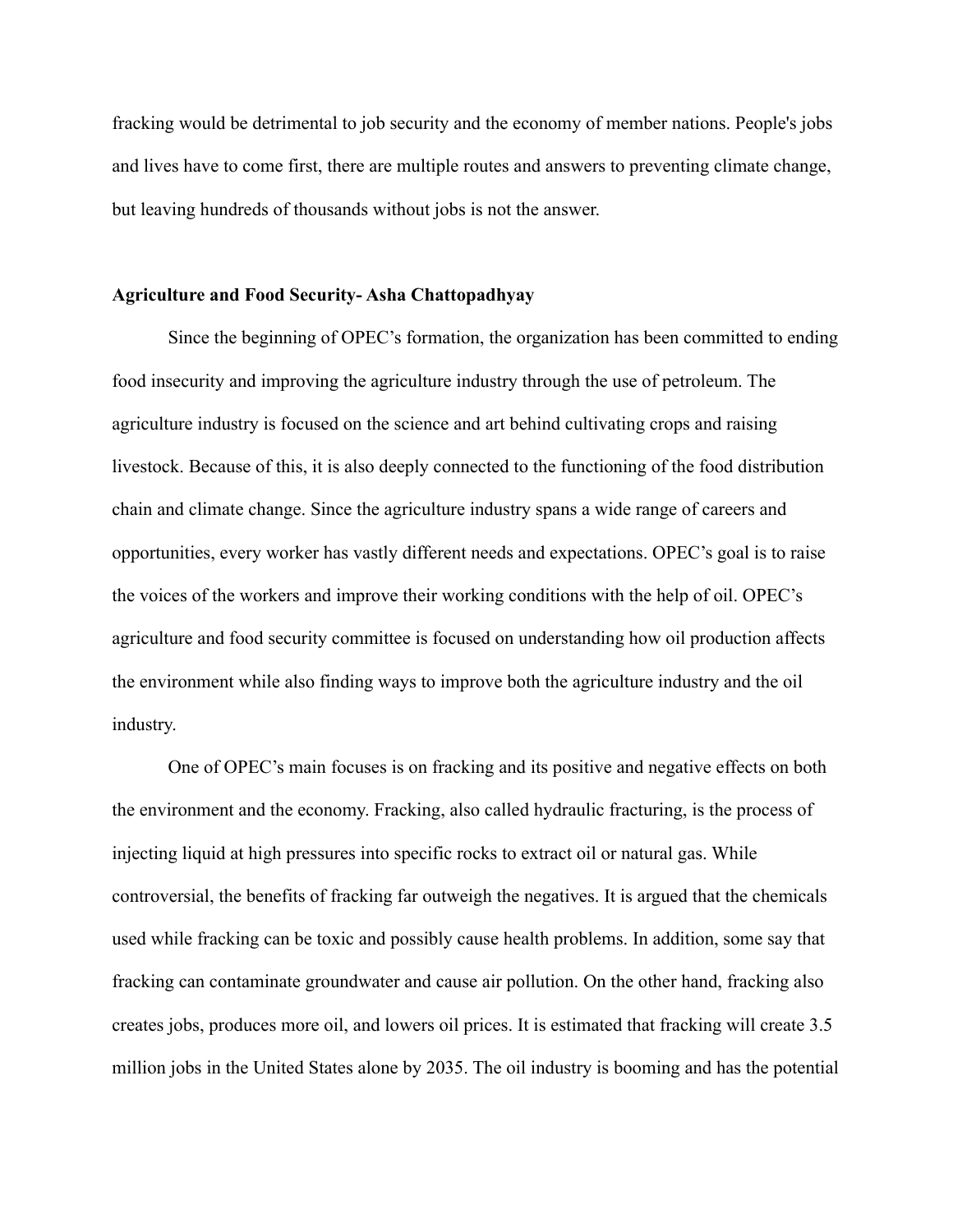fracking would be detrimental to job security and the economy of member nations. People's jobs and lives have to come first, there are multiple routes and answers to preventing climate change, but leaving hundreds of thousands without jobs is not the answer.

## **Agriculture and Food Security- Asha Chattopadhyay**

Since the beginning of OPEC's formation, the organization has been committed to ending food insecurity and improving the agriculture industry through the use of petroleum. The agriculture industry is focused on the science and art behind cultivating crops and raising livestock. Because of this, it is also deeply connected to the functioning of the food distribution chain and climate change. Since the agriculture industry spans a wide range of careers and opportunities, every worker has vastly different needs and expectations. OPEC's goal is to raise the voices of the workers and improve their working conditions with the help of oil. OPEC's agriculture and food security committee is focused on understanding how oil production affects the environment while also finding ways to improve both the agriculture industry and the oil industry.

One of OPEC's main focuses is on fracking and its positive and negative effects on both the environment and the economy. Fracking, also called hydraulic fracturing, is the process of injecting liquid at high pressures into specific rocks to extract oil or natural gas. While controversial, the benefits of fracking far outweigh the negatives. It is argued that the chemicals used while fracking can be toxic and possibly cause health problems. In addition, some say that fracking can contaminate groundwater and cause air pollution. On the other hand, fracking also creates jobs, produces more oil, and lowers oil prices. It is estimated that fracking will create 3.5 million jobs in the United States alone by 2035. The oil industry is booming and has the potential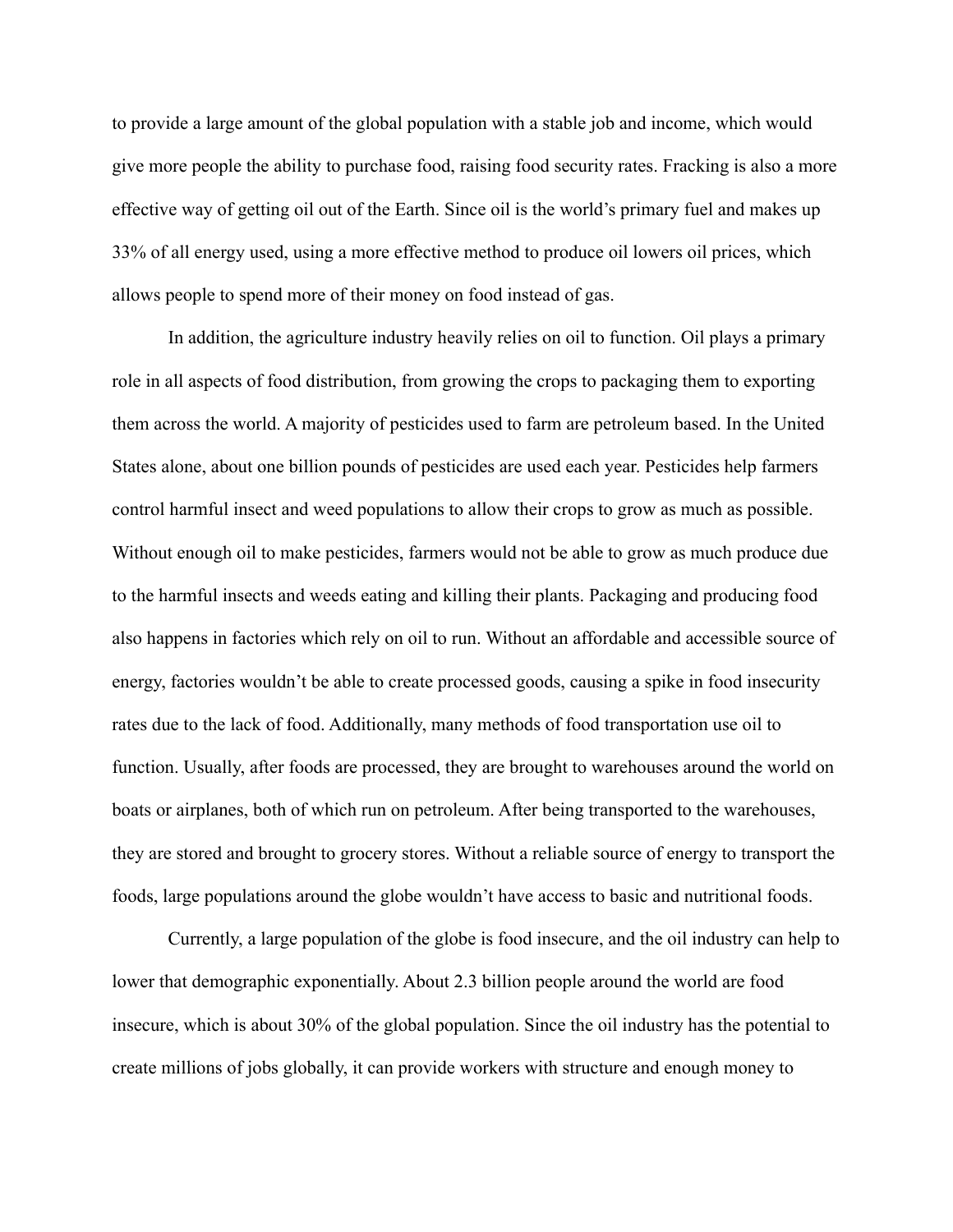to provide a large amount of the global population with a stable job and income, which would give more people the ability to purchase food, raising food security rates. Fracking is also a more effective way of getting oil out of the Earth. Since oil is the world's primary fuel and makes up 33% of all energy used, using a more effective method to produce oil lowers oil prices, which allows people to spend more of their money on food instead of gas.

In addition, the agriculture industry heavily relies on oil to function. Oil plays a primary role in all aspects of food distribution, from growing the crops to packaging them to exporting them across the world. A majority of pesticides used to farm are petroleum based. In the United States alone, about one billion pounds of pesticides are used each year. Pesticides help farmers control harmful insect and weed populations to allow their crops to grow as much as possible. Without enough oil to make pesticides, farmers would not be able to grow as much produce due to the harmful insects and weeds eating and killing their plants. Packaging and producing food also happens in factories which rely on oil to run. Without an affordable and accessible source of energy, factories wouldn't be able to create processed goods, causing a spike in food insecurity rates due to the lack of food. Additionally, many methods of food transportation use oil to function. Usually, after foods are processed, they are brought to warehouses around the world on boats or airplanes, both of which run on petroleum. After being transported to the warehouses, they are stored and brought to grocery stores. Without a reliable source of energy to transport the foods, large populations around the globe wouldn't have access to basic and nutritional foods.

Currently, a large population of the globe is food insecure, and the oil industry can help to lower that demographic exponentially. About 2.3 billion people around the world are food insecure, which is about 30% of the global population. Since the oil industry has the potential to create millions of jobs globally, it can provide workers with structure and enough money to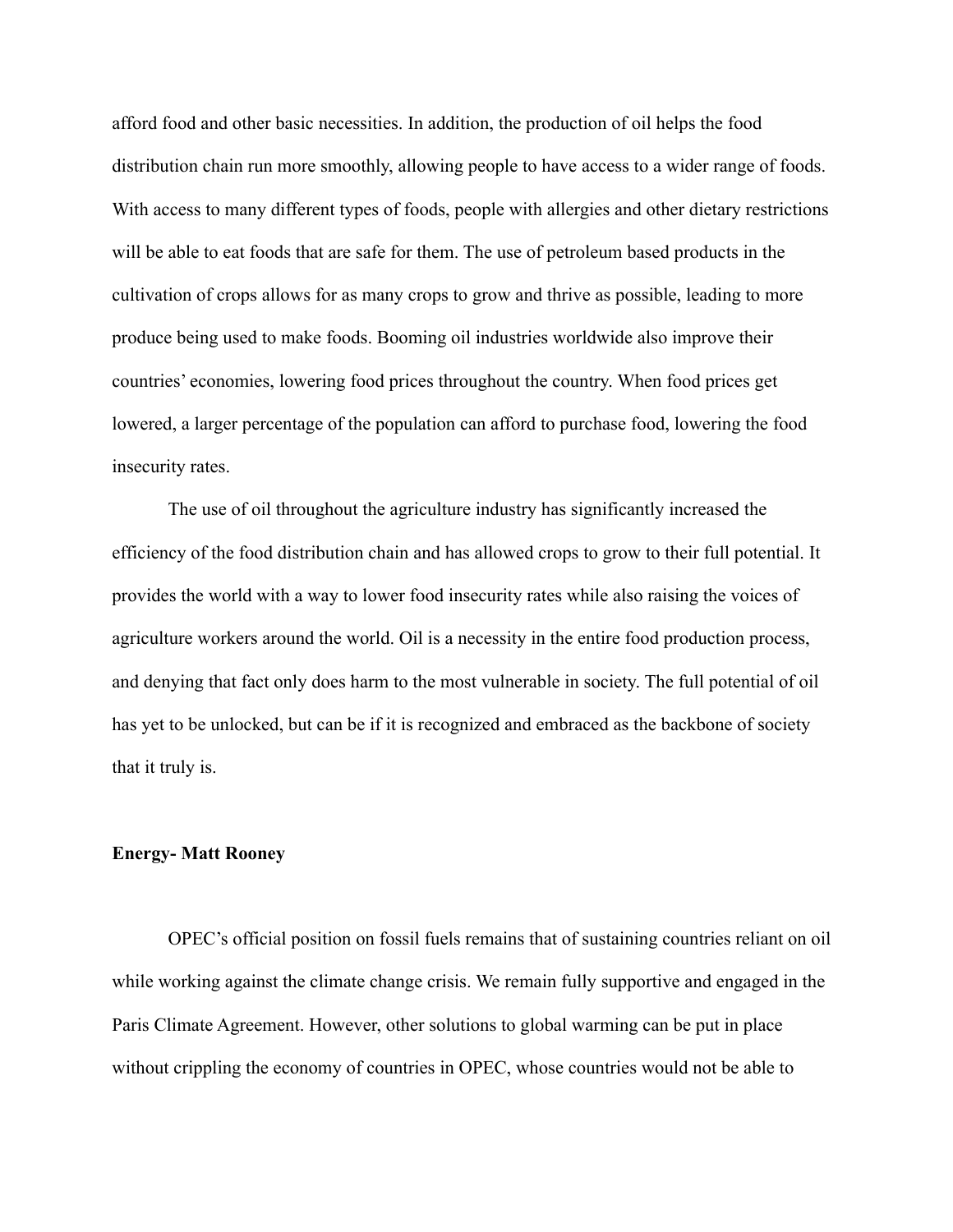afford food and other basic necessities. In addition, the production of oil helps the food distribution chain run more smoothly, allowing people to have access to a wider range of foods. With access to many different types of foods, people with allergies and other dietary restrictions will be able to eat foods that are safe for them. The use of petroleum based products in the cultivation of crops allows for as many crops to grow and thrive as possible, leading to more produce being used to make foods. Booming oil industries worldwide also improve their countries' economies, lowering food prices throughout the country. When food prices get lowered, a larger percentage of the population can afford to purchase food, lowering the food insecurity rates.

The use of oil throughout the agriculture industry has significantly increased the efficiency of the food distribution chain and has allowed crops to grow to their full potential. It provides the world with a way to lower food insecurity rates while also raising the voices of agriculture workers around the world. Oil is a necessity in the entire food production process, and denying that fact only does harm to the most vulnerable in society. The full potential of oil has yet to be unlocked, but can be if it is recognized and embraced as the backbone of society that it truly is.

#### **Energy- Matt Rooney**

OPEC's official position on fossil fuels remains that of sustaining countries reliant on oil while working against the climate change crisis. We remain fully supportive and engaged in the Paris Climate Agreement. However, other solutions to global warming can be put in place without crippling the economy of countries in OPEC, whose countries would not be able to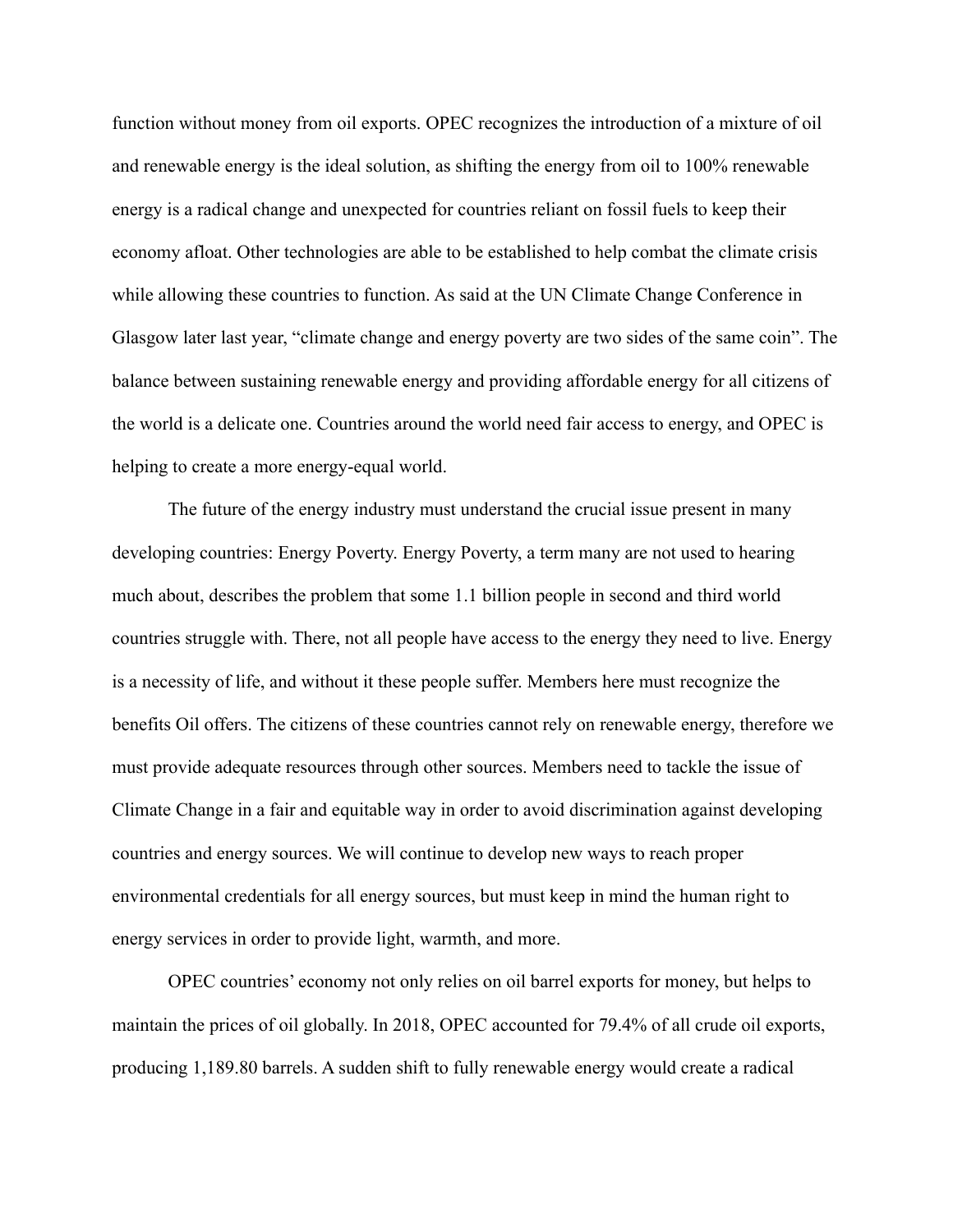function without money from oil exports. OPEC recognizes the introduction of a mixture of oil and renewable energy is the ideal solution, as shifting the energy from oil to 100% renewable energy is a radical change and unexpected for countries reliant on fossil fuels to keep their economy afloat. Other technologies are able to be established to help combat the climate crisis while allowing these countries to function. As said at the UN Climate Change Conference in Glasgow later last year, "climate change and energy poverty are two sides of the same coin". The balance between sustaining renewable energy and providing affordable energy for all citizens of the world is a delicate one. Countries around the world need fair access to energy, and OPEC is helping to create a more energy-equal world.

The future of the energy industry must understand the crucial issue present in many developing countries: Energy Poverty. Energy Poverty, a term many are not used to hearing much about, describes the problem that some 1.1 billion people in second and third world countries struggle with. There, not all people have access to the energy they need to live. Energy is a necessity of life, and without it these people suffer. Members here must recognize the benefits Oil offers. The citizens of these countries cannot rely on renewable energy, therefore we must provide adequate resources through other sources. Members need to tackle the issue of Climate Change in a fair and equitable way in order to avoid discrimination against developing countries and energy sources. We will continue to develop new ways to reach proper environmental credentials for all energy sources, but must keep in mind the human right to energy services in order to provide light, warmth, and more.

OPEC countries' economy not only relies on oil barrel exports for money, but helps to maintain the prices of oil globally. In 2018, OPEC accounted for 79.4% of all crude oil exports, producing 1,189.80 barrels. A sudden shift to fully renewable energy would create a radical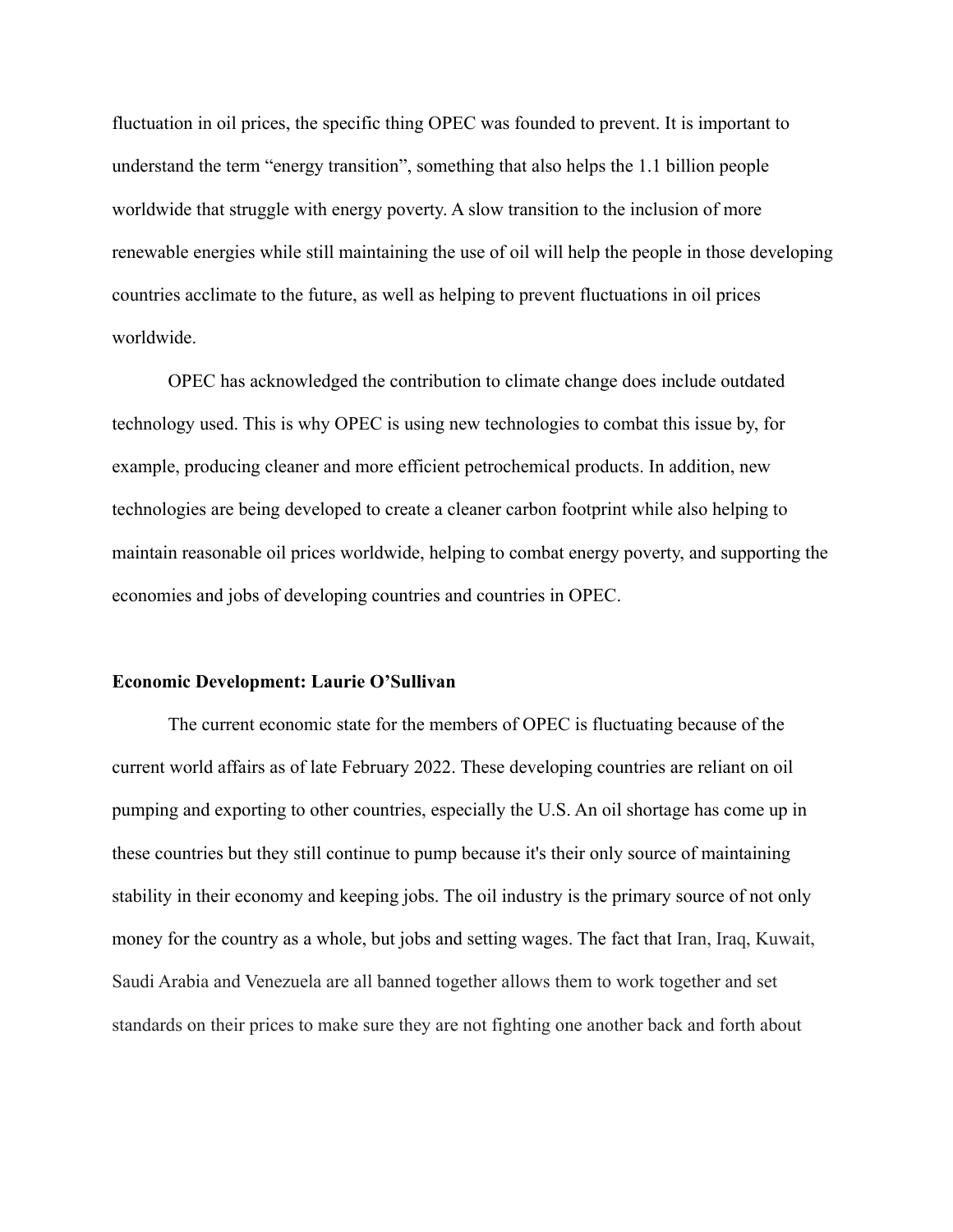fluctuation in oil prices, the specific thing OPEC was founded to prevent. It is important to understand the term "energy transition", something that also helps the 1.1 billion people worldwide that struggle with energy poverty. A slow transition to the inclusion of more renewable energies while still maintaining the use of oil will help the people in those developing countries acclimate to the future, as well as helping to prevent fluctuations in oil prices worldwide.

OPEC has acknowledged the contribution to climate change does include outdated technology used. This is why OPEC is using new technologies to combat this issue by, for example, producing cleaner and more efficient petrochemical products. In addition, new technologies are being developed to create a cleaner carbon footprint while also helping to maintain reasonable oil prices worldwide, helping to combat energy poverty, and supporting the economies and jobs of developing countries and countries in OPEC.

#### **Economic Development: Laurie O'Sullivan**

The current economic state for the members of OPEC is fluctuating because of the current world affairs as of late February 2022. These developing countries are reliant on oil pumping and exporting to other countries, especially the U.S. An oil shortage has come up in these countries but they still continue to pump because it's their only source of maintaining stability in their economy and keeping jobs. The oil industry is the primary source of not only money for the country as a whole, but jobs and setting wages. The fact that Iran, Iraq, Kuwait, Saudi Arabia and Venezuela are all banned together allows them to work together and set standards on their prices to make sure they are not fighting one another back and forth about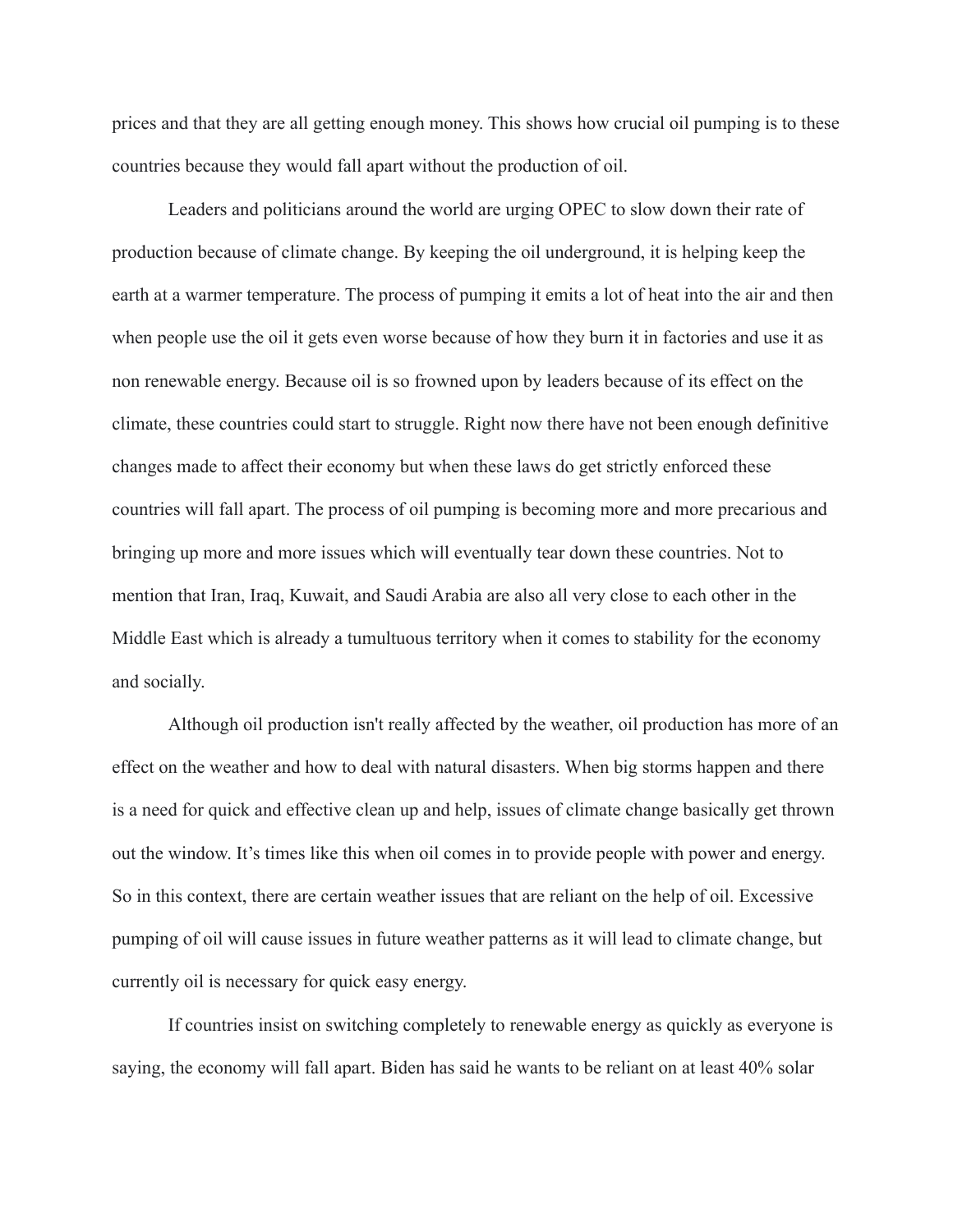prices and that they are all getting enough money. This shows how crucial oil pumping is to these countries because they would fall apart without the production of oil.

Leaders and politicians around the world are urging OPEC to slow down their rate of production because of climate change. By keeping the oil underground, it is helping keep the earth at a warmer temperature. The process of pumping it emits a lot of heat into the air and then when people use the oil it gets even worse because of how they burn it in factories and use it as non renewable energy. Because oil is so frowned upon by leaders because of its effect on the climate, these countries could start to struggle. Right now there have not been enough definitive changes made to affect their economy but when these laws do get strictly enforced these countries will fall apart. The process of oil pumping is becoming more and more precarious and bringing up more and more issues which will eventually tear down these countries. Not to mention that Iran, Iraq, Kuwait, and Saudi Arabia are also all very close to each other in the Middle East which is already a tumultuous territory when it comes to stability for the economy and socially.

Although oil production isn't really affected by the weather, oil production has more of an effect on the weather and how to deal with natural disasters. When big storms happen and there is a need for quick and effective clean up and help, issues of climate change basically get thrown out the window. It's times like this when oil comes in to provide people with power and energy. So in this context, there are certain weather issues that are reliant on the help of oil. Excessive pumping of oil will cause issues in future weather patterns as it will lead to climate change, but currently oil is necessary for quick easy energy.

If countries insist on switching completely to renewable energy as quickly as everyone is saying, the economy will fall apart. Biden has said he wants to be reliant on at least 40% solar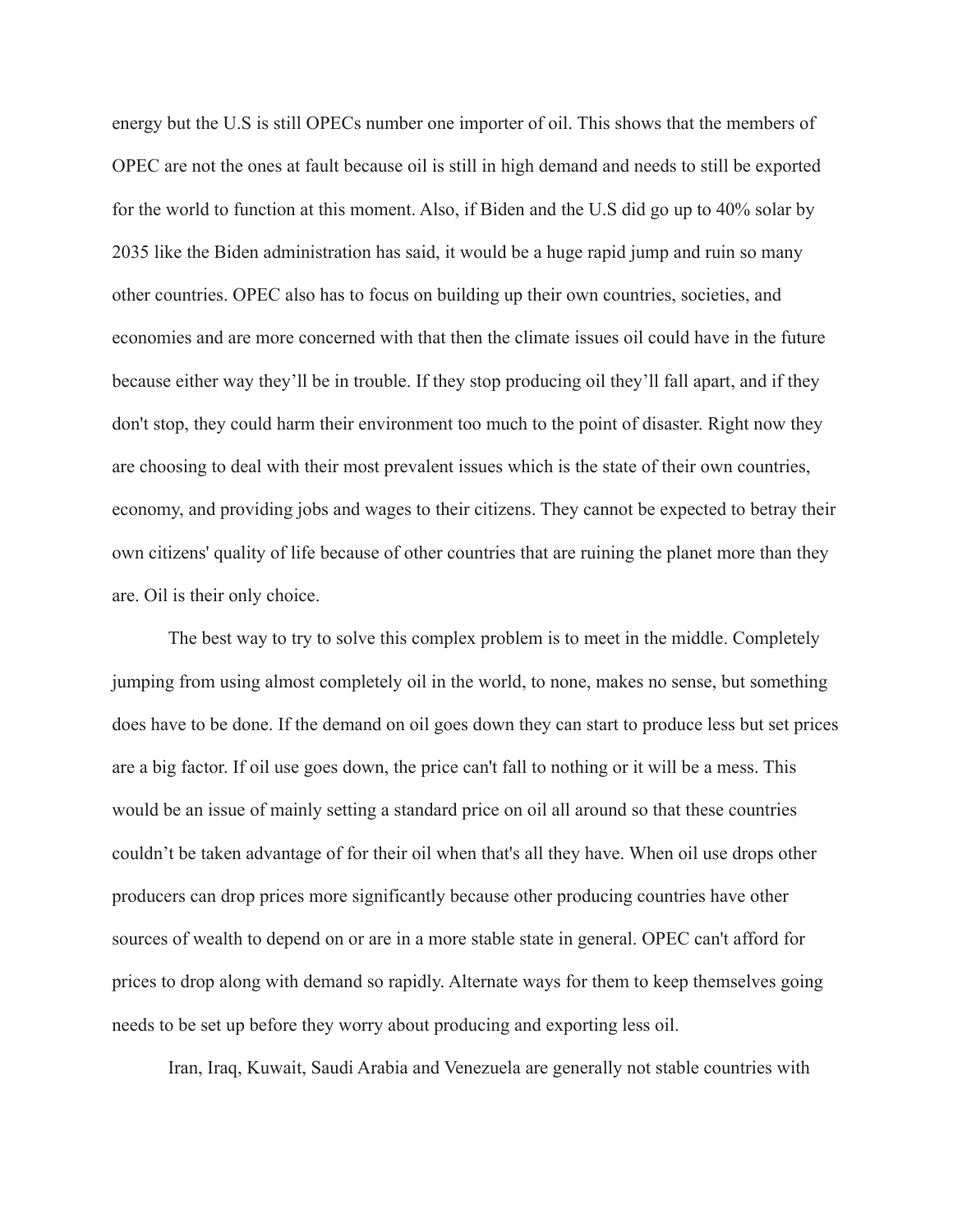energy but the U.S is still OPECs number one importer of oil. This shows that the members of OPEC are not the ones at fault because oil is still in high demand and needs to still be exported for the world to function at this moment. Also, if Biden and the U.S did go up to 40% solar by 2035 like the Biden administration has said, it would be a huge rapid jump and ruin so many other countries. OPEC also has to focus on building up their own countries, societies, and economies and are more concerned with that then the climate issues oil could have in the future because either way they'll be in trouble. If they stop producing oil they'll fall apart, and if they don't stop, they could harm their environment too much to the point of disaster. Right now they are choosing to deal with their most prevalent issues which is the state of their own countries, economy, and providing jobs and wages to their citizens. They cannot be expected to betray their own citizens' quality of life because of other countries that are ruining the planet more than they are. Oil is their only choice.

The best way to try to solve this complex problem is to meet in the middle. Completely jumping from using almost completely oil in the world, to none, makes no sense, but something does have to be done. If the demand on oil goes down they can start to produce less but set prices are a big factor. If oil use goes down, the price can't fall to nothing or it will be a mess. This would be an issue of mainly setting a standard price on oil all around so that these countries couldn't be taken advantage of for their oil when that's all they have. When oil use drops other producers can drop prices more significantly because other producing countries have other sources of wealth to depend on or are in a more stable state in general. OPEC can't afford for prices to drop along with demand so rapidly. Alternate ways for them to keep themselves going needs to be set up before they worry about producing and exporting less oil.

Iran, Iraq, Kuwait, Saudi Arabia and Venezuela are generally not stable countries with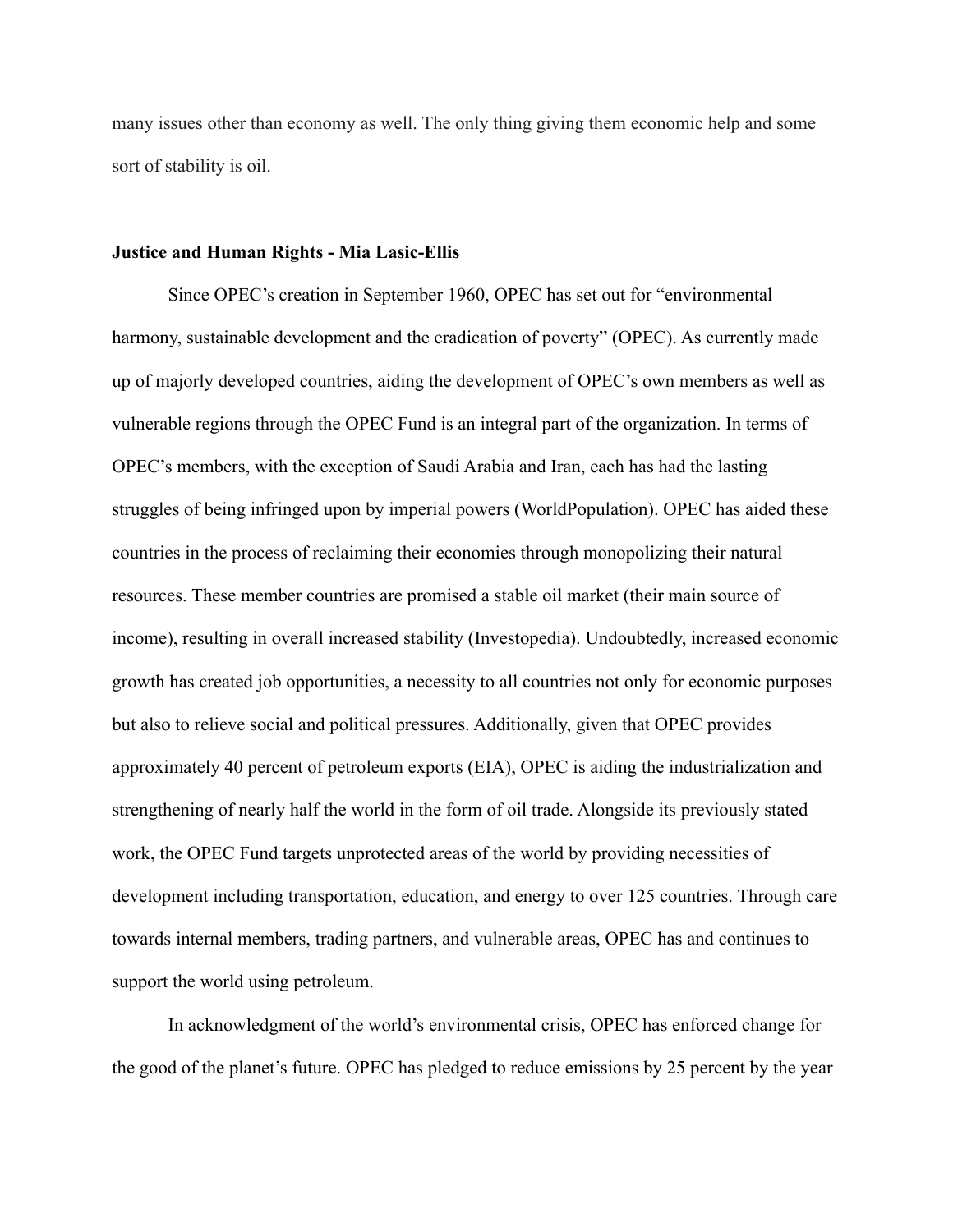many issues other than economy as well. The only thing giving them economic help and some sort of stability is oil.

### **Justice and Human Rights - Mia Lasic-Ellis**

Since OPEC's creation in September 1960, OPEC has set out for "environmental harmony, sustainable development and the eradication of poverty" (OPEC). As currently made up of majorly developed countries, aiding the development of OPEC's own members as well as vulnerable regions through the OPEC Fund is an integral part of the organization. In terms of OPEC's members, with the exception of Saudi Arabia and Iran, each has had the lasting struggles of being infringed upon by imperial powers (WorldPopulation). OPEC has aided these countries in the process of reclaiming their economies through monopolizing their natural resources. These member countries are promised a stable oil market (their main source of income), resulting in overall increased stability (Investopedia). Undoubtedly, increased economic growth has created job opportunities, a necessity to all countries not only for economic purposes but also to relieve social and political pressures. Additionally, given that OPEC provides approximately 40 percent of petroleum exports (EIA), OPEC is aiding the industrialization and strengthening of nearly half the world in the form of oil trade. Alongside its previously stated work, the OPEC Fund targets unprotected areas of the world by providing necessities of development including transportation, education, and energy to over 125 countries. Through care towards internal members, trading partners, and vulnerable areas, OPEC has and continues to support the world using petroleum.

In acknowledgment of the world's environmental crisis, OPEC has enforced change for the good of the planet's future. OPEC has pledged to reduce emissions by 25 percent by the year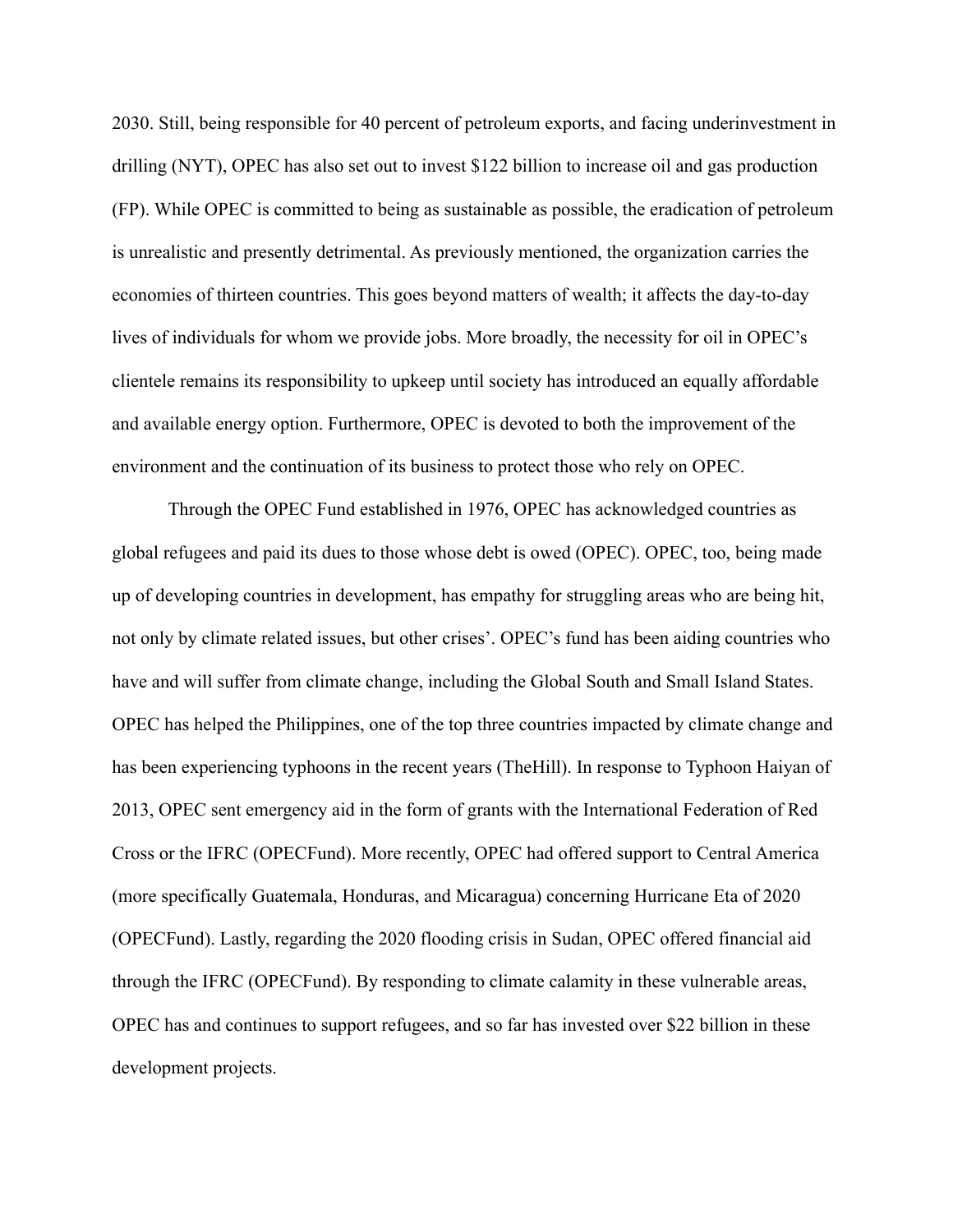2030. Still, being responsible for 40 percent of petroleum exports, and facing underinvestment in drilling (NYT), OPEC has also set out to invest \$122 billion to increase oil and gas production (FP). While OPEC is committed to being as sustainable as possible, the eradication of petroleum is unrealistic and presently detrimental. As previously mentioned, the organization carries the economies of thirteen countries. This goes beyond matters of wealth; it affects the day-to-day lives of individuals for whom we provide jobs. More broadly, the necessity for oil in OPEC's clientele remains its responsibility to upkeep until society has introduced an equally affordable and available energy option. Furthermore, OPEC is devoted to both the improvement of the environment and the continuation of its business to protect those who rely on OPEC.

Through the OPEC Fund established in 1976, OPEC has acknowledged countries as global refugees and paid its dues to those whose debt is owed (OPEC). OPEC, too, being made up of developing countries in development, has empathy for struggling areas who are being hit, not only by climate related issues, but other crises'. OPEC's fund has been aiding countries who have and will suffer from climate change, including the Global South and Small Island States. OPEC has helped the Philippines, one of the top three countries impacted by climate change and has been experiencing typhoons in the recent years (TheHill). In response to Typhoon Haiyan of 2013, OPEC sent emergency aid in the form of grants with the International Federation of Red Cross or the IFRC (OPECFund). More recently, OPEC had offered support to Central America (more specifically Guatemala, Honduras, and Micaragua) concerning Hurricane Eta of 2020 (OPECFund). Lastly, regarding the 2020 flooding crisis in Sudan, OPEC offered financial aid through the IFRC (OPECFund). By responding to climate calamity in these vulnerable areas, OPEC has and continues to support refugees, and so far has invested over \$22 billion in these development projects.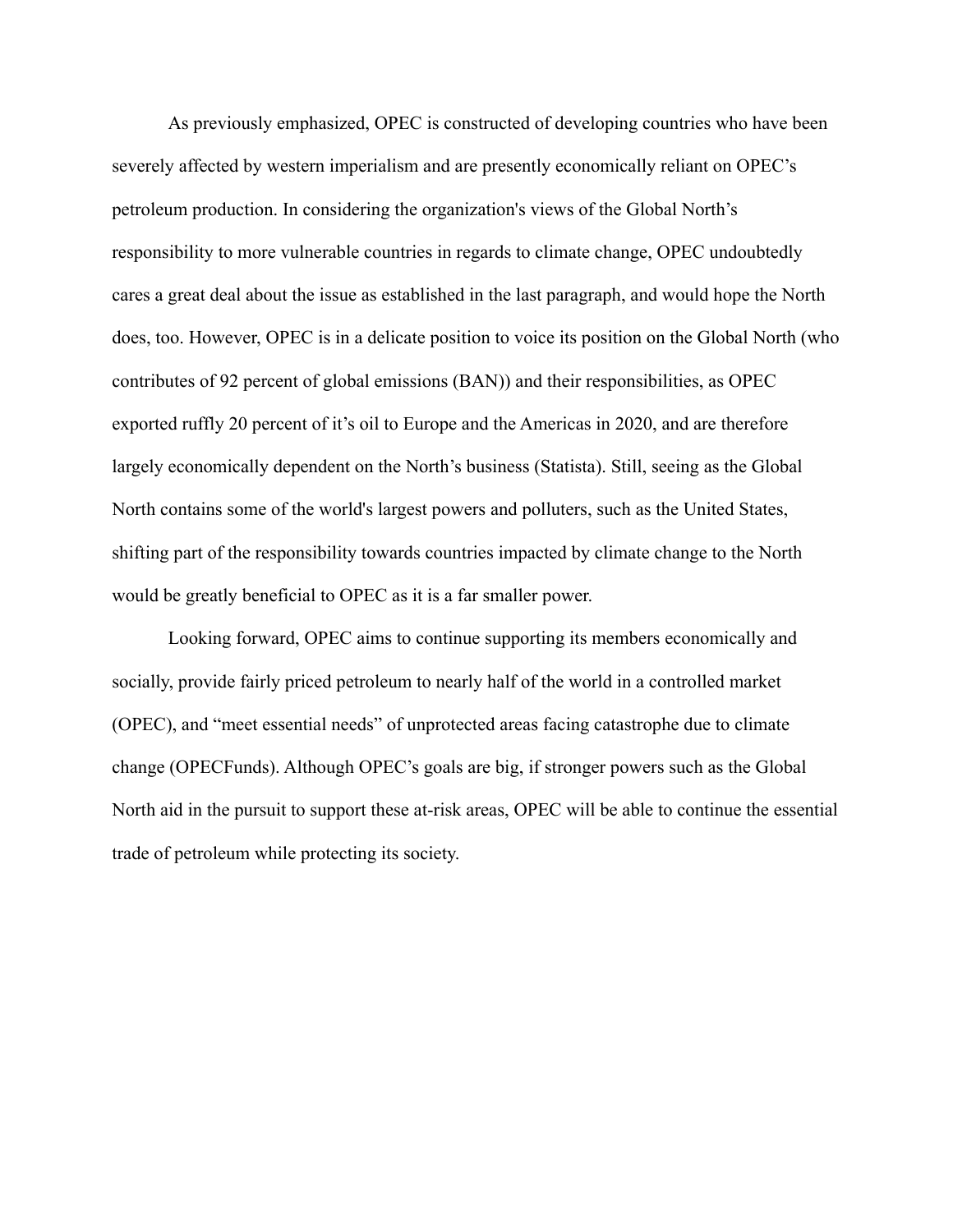As previously emphasized, OPEC is constructed of developing countries who have been severely affected by western imperialism and are presently economically reliant on OPEC's petroleum production. In considering the organization's views of the Global North's responsibility to more vulnerable countries in regards to climate change, OPEC undoubtedly cares a great deal about the issue as established in the last paragraph, and would hope the North does, too. However, OPEC is in a delicate position to voice its position on the Global North (who contributes of 92 percent of global emissions (BAN)) and their responsibilities, as OPEC exported ruffly 20 percent of it's oil to Europe and the Americas in 2020, and are therefore largely economically dependent on the North's business (Statista). Still, seeing as the Global North contains some of the world's largest powers and polluters, such as the United States, shifting part of the responsibility towards countries impacted by climate change to the North would be greatly beneficial to OPEC as it is a far smaller power.

Looking forward, OPEC aims to continue supporting its members economically and socially, provide fairly priced petroleum to nearly half of the world in a controlled market (OPEC), and "meet essential needs" of unprotected areas facing catastrophe due to climate change (OPECFunds). Although OPEC's goals are big, if stronger powers such as the Global North aid in the pursuit to support these at-risk areas, OPEC will be able to continue the essential trade of petroleum while protecting its society.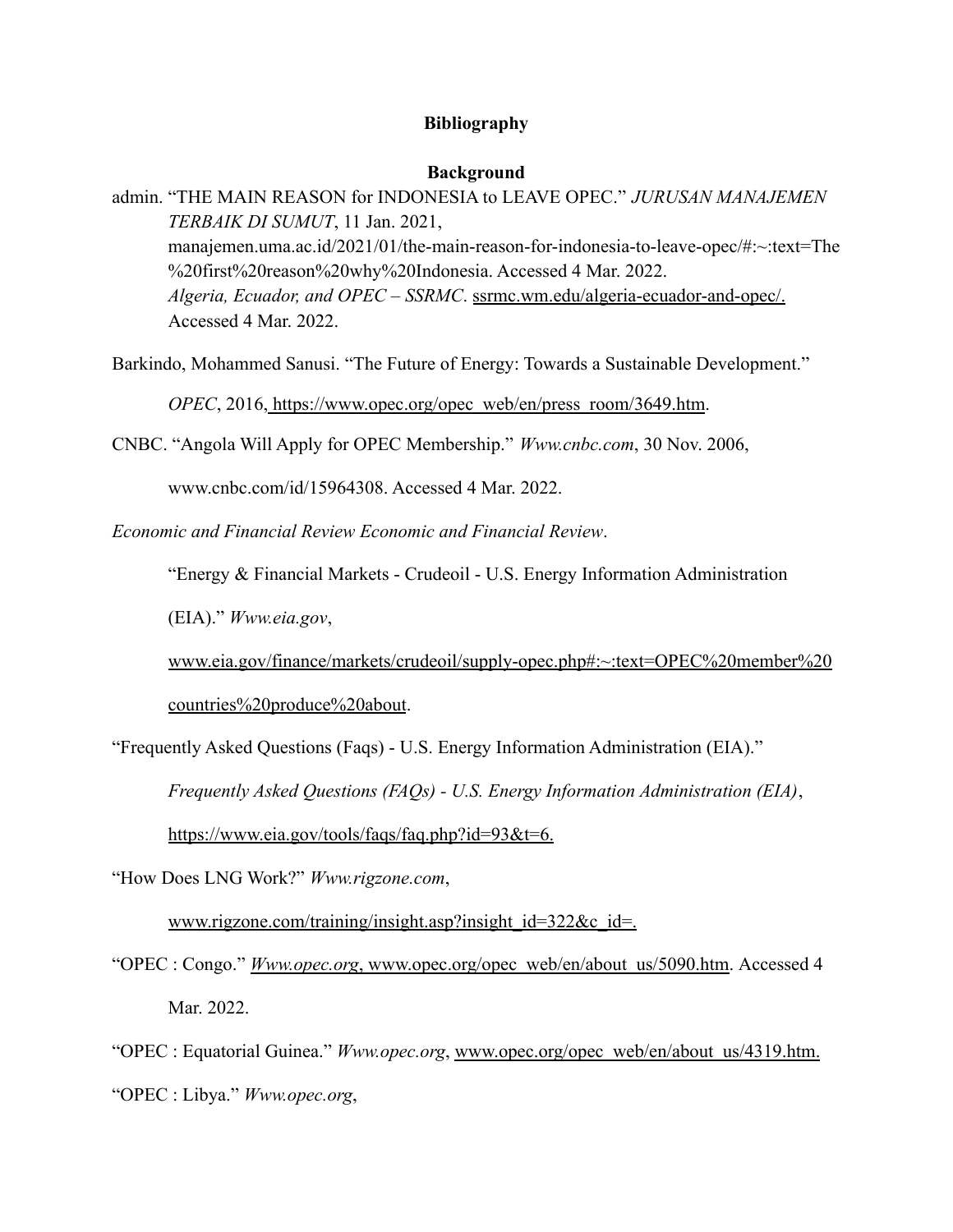## **Bibliography**

## **Background**

admin. "THE MAIN REASON for INDONESIA to LEAVE OPEC." *JURUSAN MANAJEMEN TERBAIK DI SUMUT*, 11 Jan. 2021, manajemen.uma.ac.id/2021/01/the-main-reason-for-indonesia-to-leave-opec/#:~:text=The %20first%20reason%20why%20Indonesia. Accessed 4 Mar. 2022. *Algeria, Ecuador, and OPEC – SSRMC*. ssrmc.wm.edu/algeria-ecuador-and-opec/. Accessed 4 Mar. 2022.

Barkindo, Mohammed Sanusi. "The Future of Energy: Towards a Sustainable Development."

*OPEC*, 2016, https://www.opec.org/opec\_web/en/press\_room/3649.htm.

CNBC. "Angola Will Apply for OPEC Membership." *Www.cnbc.com*, 30 Nov. 2006,

www.cnbc.com/id/15964308. Accessed 4 Mar. 2022.

*Economic and Financial Review Economic and Financial Review*.

"Energy & Financial Markets - Crudeoil - U.S. Energy Information Administration

(EIA)." *Www.eia.gov*,

www.eia.gov/finance/markets/crudeoil/supply-opec.php#:~:text=OPEC%20member%20

countries%20produce%20about.

"Frequently Asked Questions (Faqs) - U.S. Energy Information Administration (EIA)."

*Frequently Asked Questions (FAQs) - U.S. Energy Information Administration (EIA)*,

https://www.eia.gov/tools/faqs/faq.php?id=93&t=6.

"How Does LNG Work?" *Www.rigzone.com*,

www.rigzone.com/training/insight.asp?insight\_id=322&c\_id=.

"OPEC : Congo." *Www.opec.org*, www.opec.org/opec\_web/en/about\_us/5090.htm. Accessed 4 Mar. 2022.

"OPEC : Equatorial Guinea." *Www.opec.org*, www.opec.org/opec\_web/en/about\_us/4319.htm. "OPEC : Libya." *Www.opec.org*,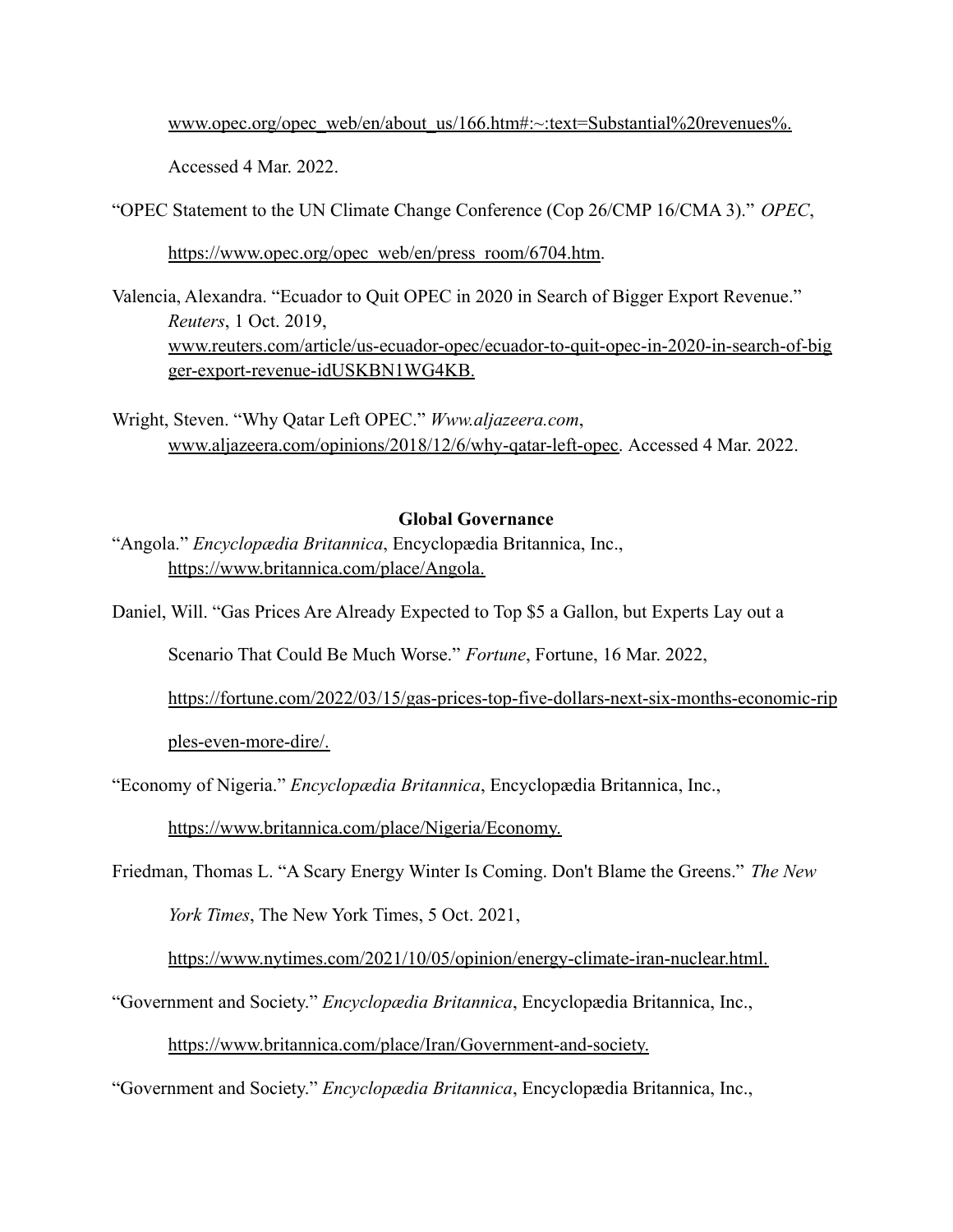www.opec.org/opec\_web/en/about\_us/166.htm#:~:text=Substantial%20revenues%.

Accessed 4 Mar. 2022.

"OPEC Statement to the UN Climate Change Conference (Cop 26/CMP 16/CMA 3)." *OPEC*,

https://www.opec.org/opec\_web/en/press\_room/6704.htm.

- Valencia, Alexandra. "Ecuador to Quit OPEC in 2020 in Search of Bigger Export Revenue." *Reuters*, 1 Oct. 2019, www.reuters.com/article/us-ecuador-opec/ecuador-to-quit-opec-in-2020-in-search-of-big ger-export-revenue-idUSKBN1WG4KB.
- Wright, Steven. "Why Qatar Left OPEC." *Www.aljazeera.com*, www.aljazeera.com/opinions/2018/12/6/why-qatar-left-opec. Accessed 4 Mar. 2022.

# **Global Governance**

- "Angola." *Encyclopædia Britannica*, Encyclopædia Britannica, Inc., https://www.britannica.com/place/Angola.
- Daniel, Will. "Gas Prices Are Already Expected to Top \$5 a Gallon, but Experts Lay out a

Scenario That Could Be Much Worse." *Fortune*, Fortune, 16 Mar. 2022,

https://fortune.com/2022/03/15/gas-prices-top-five-dollars-next-six-months-economic-rip

ples-even-more-dire/.

"Economy of Nigeria." *Encyclopædia Britannica*, Encyclopædia Britannica, Inc.,

https://www.britannica.com/place/Nigeria/Economy.

Friedman, Thomas L. "A Scary Energy Winter Is Coming. Don't Blame the Greens." *The New*

*York Times*, The New York Times, 5 Oct. 2021,

https://www.nytimes.com/2021/10/05/opinion/energy-climate-iran-nuclear.html.

"Government and Society." *Encyclopædia Britannica*, Encyclopædia Britannica, Inc.,

https://www.britannica.com/place/Iran/Government-and-society.

"Government and Society." *Encyclopædia Britannica*, Encyclopædia Britannica, Inc.,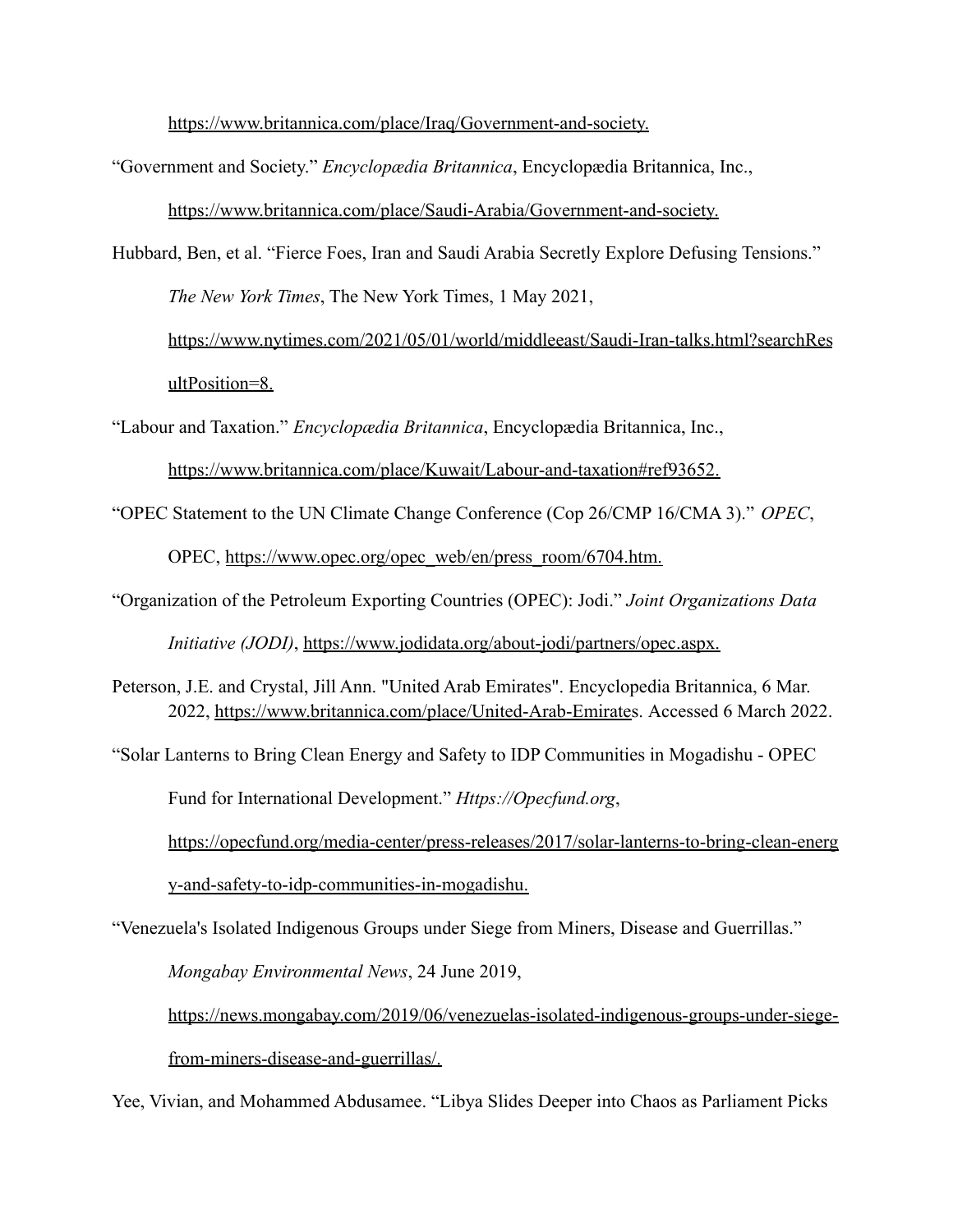https://www.britannica.com/place/Iraq/Government-and-society.

"Government and Society." *Encyclopædia Britannica*, Encyclopædia Britannica, Inc.,

https://www.britannica.com/place/Saudi-Arabia/Government-and-society.

Hubbard, Ben, et al. "Fierce Foes, Iran and Saudi Arabia Secretly Explore Defusing Tensions."

*The New York Times*, The New York Times, 1 May 2021,

https://www.nytimes.com/2021/05/01/world/middleeast/Saudi-Iran-talks.html?searchRes ultPosition=8.

"Labour and Taxation." *Encyclopædia Britannica*, Encyclopædia Britannica, Inc.,

https://www.britannica.com/place/Kuwait/Labour-and-taxation#ref93652.

"OPEC Statement to the UN Climate Change Conference (Cop 26/CMP 16/CMA 3)." *OPEC*,

OPEC, https://www.opec.org/opec\_web/en/press\_room/6704.htm.

"Organization of the Petroleum Exporting Countries (OPEC): Jodi." *Joint Organizations Data*

*Initiative (JODI)*, https://www.jodidata.org/about-jodi/partners/opec.aspx.

Peterson, J.E. and Crystal, Jill Ann. "United Arab Emirates". Encyclopedia Britannica, 6 Mar. 2022, https://www.britannica.com/place/United-Arab-Emirates. Accessed 6 March 2022.

"Solar Lanterns to Bring Clean Energy and Safety to IDP Communities in Mogadishu - OPEC Fund for International Development." *Https://Opecfund.org*, https://opecfund.org/media-center/press-releases/2017/solar-lanterns-to-bring-clean-energ y-and-safety-to-idp-communities-in-mogadishu.

"Venezuela's Isolated Indigenous Groups under Siege from Miners, Disease and Guerrillas."

*Mongabay Environmental News*, 24 June 2019,

https://news.mongabay.com/2019/06/venezuelas-isolated-indigenous-groups-under-siege-

from-miners-disease-and-guerrillas/.

Yee, Vivian, and Mohammed Abdusamee. "Libya Slides Deeper into Chaos as Parliament Picks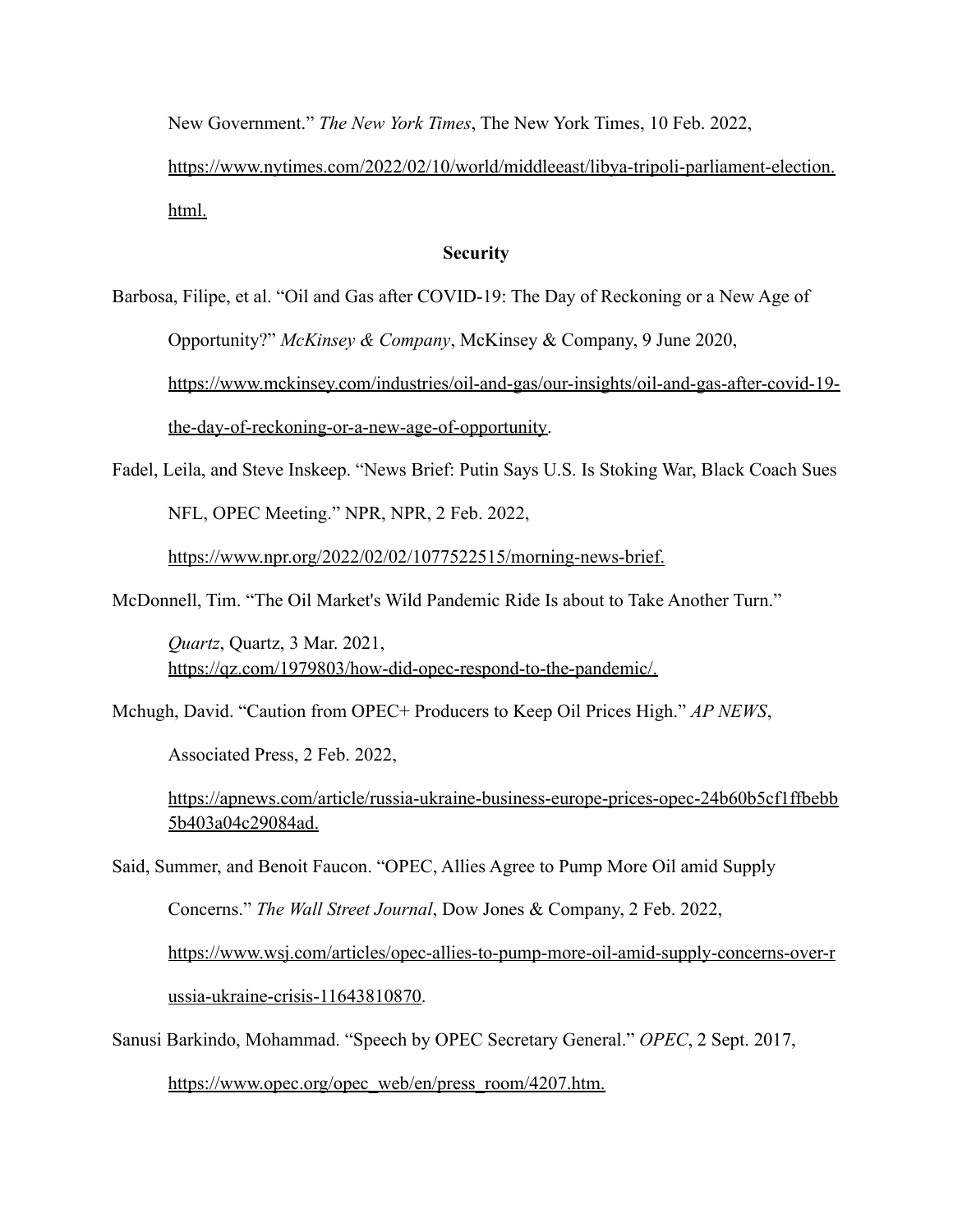New Government." *The New York Times*, The New York Times, 10 Feb. 2022,

https://www.nytimes.com/2022/02/10/world/middleeast/libya-tripoli-parliament-election. html.

## **Security**

Barbosa, Filipe, et al. "Oil and Gas after COVID-19: The Day of Reckoning or a New Age of

Opportunity?" *McKinsey & Company*, McKinsey & Company, 9 June 2020,

https://www.mckinsey.com/industries/oil-and-gas/our-insights/oil-and-gas-after-covid-19 the-day-of-reckoning-or-a-new-age-of-opportunity.

Fadel, Leila, and Steve Inskeep. "News Brief: Putin Says U.S. Is Stoking War, Black Coach Sues

NFL, OPEC Meeting." NPR, NPR, 2 Feb. 2022,

https://www.npr.org/2022/02/02/1077522515/morning-news-brief.

McDonnell, Tim. "The Oil Market's Wild Pandemic Ride Is about to Take Another Turn."

*Quartz*, Quartz, 3 Mar. 2021, https://qz.com/1979803/how-did-opec-respond-to-the-pandemic/.

Mchugh, David. "Caution from OPEC+ Producers to Keep Oil Prices High." *AP NEWS*,

Associated Press, 2 Feb. 2022,

https://apnews.com/article/russia-ukraine-business-europe-prices-opec-24b60b5cf1ffbebb 5b403a04c29084ad.

Said, Summer, and Benoit Faucon. "OPEC, Allies Agree to Pump More Oil amid Supply

Concerns." *The Wall Street Journal*, Dow Jones & Company, 2 Feb. 2022,

https://www.wsj.com/articles/opec-allies-to-pump-more-oil-amid-supply-concerns-over-r

ussia-ukraine-crisis-11643810870.

Sanusi Barkindo, Mohammad. "Speech by OPEC Secretary General." *OPEC*, 2 Sept. 2017,

https://www.opec.org/opec\_web/en/press\_room/4207.htm.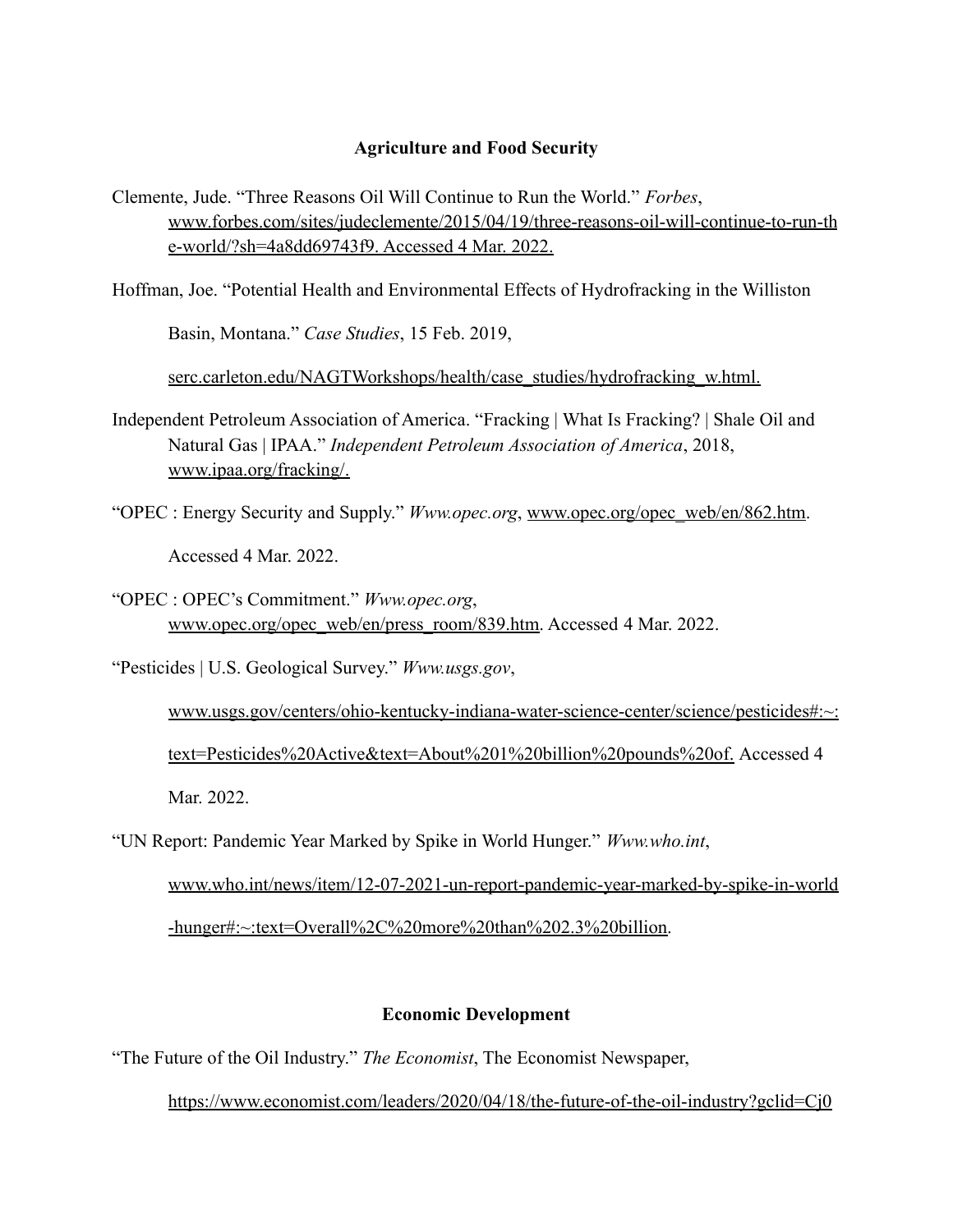## **Agriculture and Food Security**

Clemente, Jude. "Three Reasons Oil Will Continue to Run the World." *Forbes*, www.forbes.com/sites/judeclemente/2015/04/19/three-reasons-oil-will-continue-to-run-th e-world/?sh=4a8dd69743f9. Accessed 4 Mar. 2022.

Hoffman, Joe. "Potential Health and Environmental Effects of Hydrofracking in the Williston

Basin, Montana." *Case Studies*, 15 Feb. 2019,

serc.carleton.edu/NAGTWorkshops/health/case\_studies/hydrofracking\_w.html.

- Independent Petroleum Association of America. "Fracking | What Is Fracking? | Shale Oil and Natural Gas | IPAA." *Independent Petroleum Association of America*, 2018, www.ipaa.org/fracking/.
- "OPEC : Energy Security and Supply." *Www.opec.org*, www.opec.org/opec\_web/en/862.htm. Accessed 4 Mar. 2022.
- "OPEC : OPEC's Commitment." *Www.opec.org*, www.opec.org/opec\_web/en/press\_room/839.htm. Accessed 4 Mar. 2022.

"Pesticides | U.S. Geological Survey." *Www.usgs.gov*,

www.usgs.gov/centers/ohio-kentucky-indiana-water-science-center/science/pesticides#:~: text=Pesticides%20Active&text=About%201%20billion%20pounds%20of. Accessed 4 Mar. 2022.

"UN Report: Pandemic Year Marked by Spike in World Hunger." *Www.who.int*,

www.who.int/news/item/12-07-2021-un-report-pandemic-year-marked-by-spike-in-world -hunger#:~:text=Overall%2C%20more%20than%202.3%20billion.

# **Economic Development**

"The Future of the Oil Industry." *The Economist*, The Economist Newspaper,

https://www.economist.com/leaders/2020/04/18/the-future-of-the-oil-industry?gclid=Cj0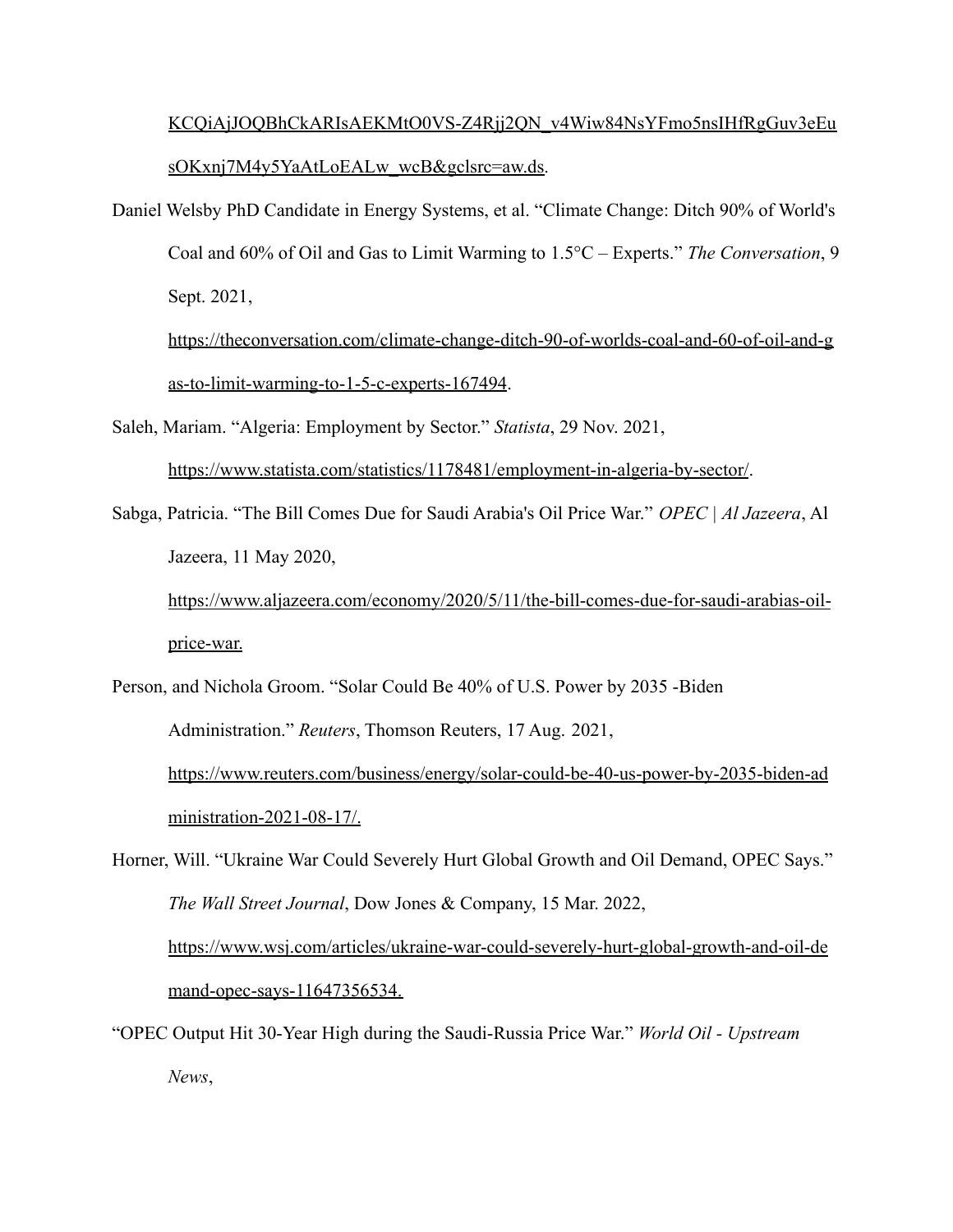# KCQiAjJOQBhCkARIsAEKMtO0VS-Z4Rjj2QN\_v4Wiw84NsYFmo5nsIHfRgGuv3eEu sOKxnj7M4y5YaAtLoEALw\_wcB&gclsrc=aw.ds.

Daniel Welsby PhD Candidate in Energy Systems, et al. "Climate Change: Ditch 90% of World's Coal and 60% of Oil and Gas to Limit Warming to 1.5°C – Experts." *The Conversation*, 9 Sept. 2021,

https://theconversation.com/climate-change-ditch-90-of-worlds-coal-and-60-of-oil-and-g as-to-limit-warming-to-1-5-c-experts-167494.

Saleh, Mariam. "Algeria: Employment by Sector." *Statista*, 29 Nov. 2021,

https://www.statista.com/statistics/1178481/employment-in-algeria-by-sector/.

Sabga, Patricia. "The Bill Comes Due for Saudi Arabia's Oil Price War." *OPEC | Al Jazeera*, Al Jazeera, 11 May 2020,

https://www.aljazeera.com/economy/2020/5/11/the-bill-comes-due-for-saudi-arabias-oilprice-war.

Person, and Nichola Groom. "Solar Could Be 40% of U.S. Power by 2035 -Biden Administration." *Reuters*, Thomson Reuters, 17 Aug. 2021, https://www.reuters.com/business/energy/solar-could-be-40-us-power-by-2035-biden-ad ministration-2021-08-17/.

Horner, Will. "Ukraine War Could Severely Hurt Global Growth and Oil Demand, OPEC Says." *The Wall Street Journal*, Dow Jones & Company, 15 Mar. 2022, https://www.wsj.com/articles/ukraine-war-could-severely-hurt-global-growth-and-oil-de mand-opec-says-11647356534.

"OPEC Output Hit 30-Year High during the Saudi-Russia Price War." *World Oil - Upstream News*,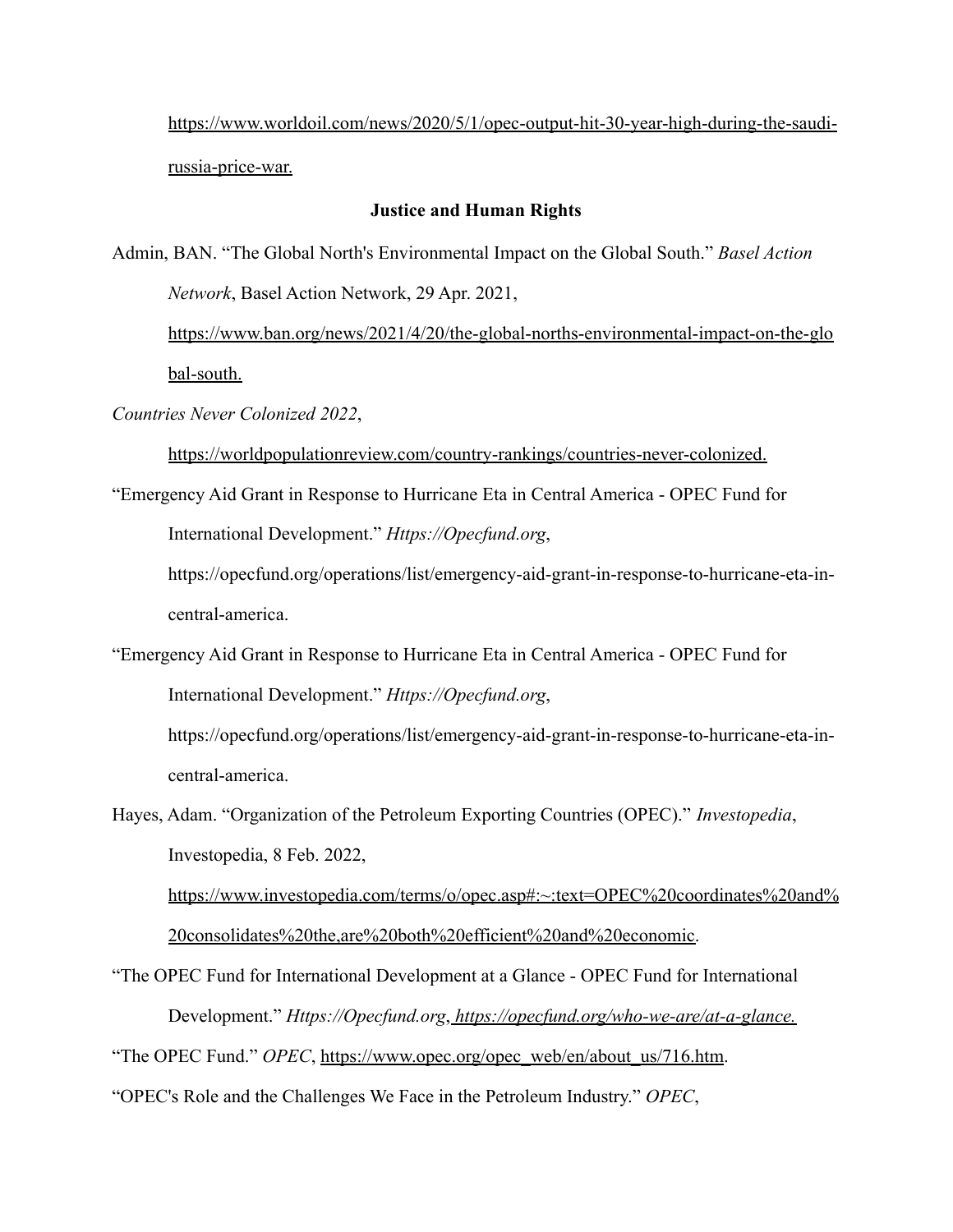https://www.worldoil.com/news/2020/5/1/opec-output-hit-30-year-high-during-the-saudirussia-price-war.

## **Justice and Human Rights**

Admin, BAN. "The Global North's Environmental Impact on the Global South." *Basel Action Network*, Basel Action Network, 29 Apr. 2021,

https://www.ban.org/news/2021/4/20/the-global-norths-environmental-impact-on-the-glo bal-south.

*Countries Never Colonized 2022*,

https://worldpopulationreview.com/country-rankings/countries-never-colonized.

"Emergency Aid Grant in Response to Hurricane Eta in Central America - OPEC Fund for International Development." *Https://Opecfund.org*,

https://opecfund.org/operations/list/emergency-aid-grant-in-response-to-hurricane-eta-incentral-america.

"Emergency Aid Grant in Response to Hurricane Eta in Central America - OPEC Fund for International Development." *Https://Opecfund.org*,

https://opecfund.org/operations/list/emergency-aid-grant-in-response-to-hurricane-eta-incentral-america.

Hayes, Adam. "Organization of the Petroleum Exporting Countries (OPEC)." *Investopedia*, Investopedia, 8 Feb. 2022,

https://www.investopedia.com/terms/o/opec.asp#:~:text=OPEC%20coordinates%20and% 20consolidates%20the,are%20both%20efficient%20and%20economic.

"The OPEC Fund for International Development at a Glance - OPEC Fund for International Development." *Https://Opecfund.org*, *https://opecfund.org/who-we-are/at-a-glance.*

"The OPEC Fund." *OPEC*, https://www.opec.org/opec\_web/en/about\_us/716.htm.

"OPEC's Role and the Challenges We Face in the Petroleum Industry." *OPEC*,